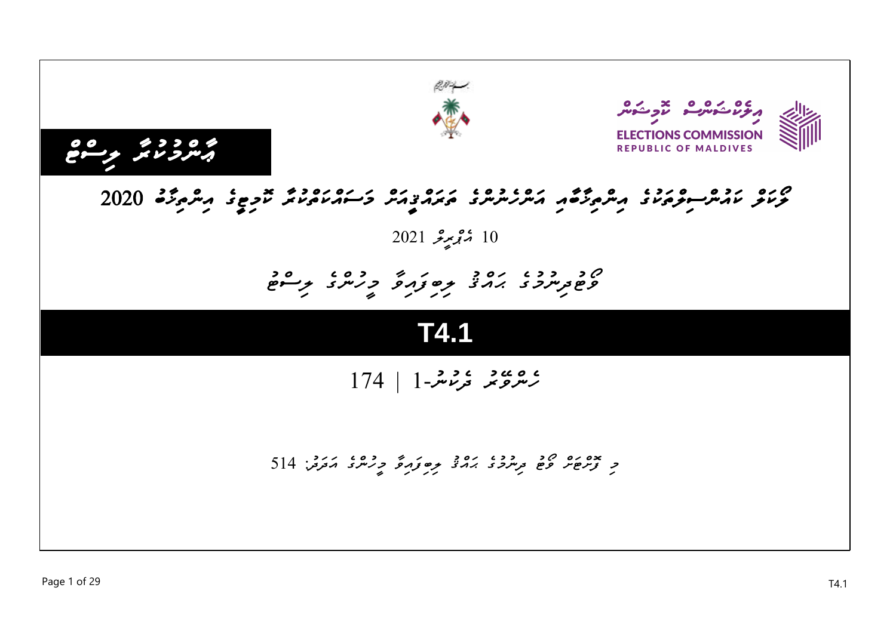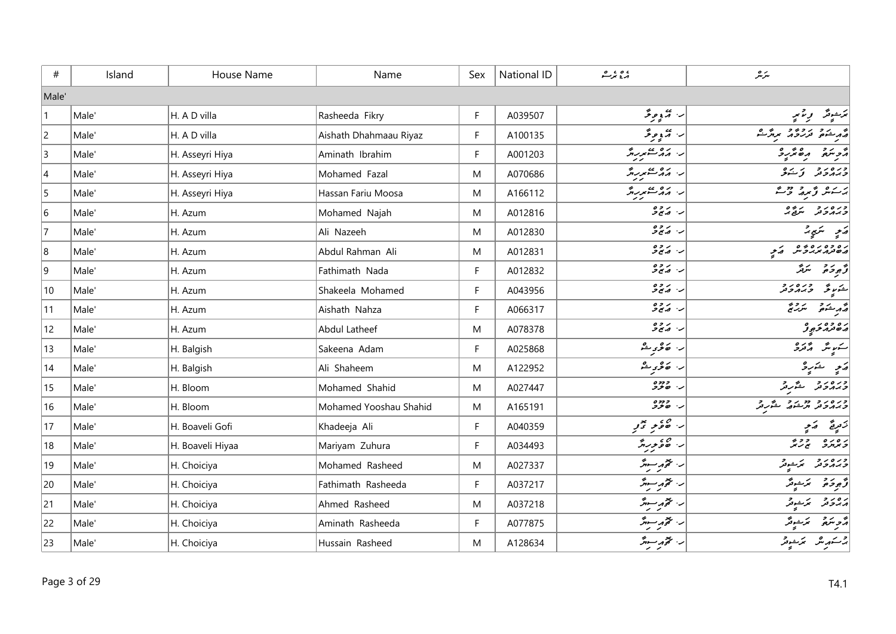| #               | Island | House Name       | Name                   | Sex       | National ID | ، ه ، ره<br>د ، برگ                   | ىئرىتر                                     |
|-----------------|--------|------------------|------------------------|-----------|-------------|---------------------------------------|--------------------------------------------|
| Male'           |        |                  |                        |           |             |                                       |                                            |
| $\vert$ 1       | Male'  | H. A D villa     | Rasheeda Fikry         | F         | A039507     | ر، "دو و ژ                            | ىمەھ بورتىمىيە<br>ئىستىق بورتىمىيە         |
| 2               | Male'  | H. A D villa     | Aishath Dhahmaau Riyaz | F         | A100135     | ر. ئۇي <sub>م</sub> وقر               |                                            |
| $\vert$ 3       | Male'  | H. Asseyri Hiya  | Aminath Ibrahim        | F         | A001203     | ر، مەھرىسىمبەر بىر<br>مەم             | و سره مقترره                               |
| $\overline{4}$  | Male'  | H. Asseyri Hiya  | Mohamed Fazal          | M         | A070686     | ر، مەم ئىسىمىز بىر<br>مەم ئىسىمىز بىر | ورەرو كەنتو                                |
| $\overline{5}$  | Male'  | H. Asseyri Hiya  | Hassan Fariu Moosa     | M         | A166112     | ر. روم محمور پڑ                       | يركبش وحميرة المحاشة                       |
| $\vert 6 \vert$ | Male'  | H. Azum          | Mohamed Najah          | ${\sf M}$ | A012816     | $550 -$                               | وره رو دره و                               |
| 7               | Male'  | H. Azum          | Ali Nazeeh             | M         | A012830     | $550 -$                               | ړې <sub>سکيم</sub> تر                      |
| 8               | Male'  | H. Azum          | Abdul Rahman Ali       | M         | A012831     | $550 -$                               |                                            |
| 9               | Male'  | H. Azum          | Fathimath Nada         | F         | A012832     | $550 -$                               |                                            |
| 10              | Male'  | H. Azum          | Shakeela Mohamed       | F         | A043956     | $550 -$                               |                                            |
| 11              | Male'  | H. Azum          | Aishath Nahza          | F         | A066317     | ر په ده و                             |                                            |
| 12              | Male'  | H. Azum          | Abdul Latheef          | ${\sf M}$ | A078378     | $550 -$                               | ره وه ر<br>مەھەرم ئومۇ                     |
| 13              | Male'  | H. Balgish       | Sakeena Adam           | F         | A025868     | ر، ئۈچ ئە                             | سەر شەرە                                   |
| 14              | Male'  | H. Balgish       | Ali Shaheem            | M         | A122952     | ر. ئۇي ئە                             |                                            |
| 15              | Male'  | H. Bloom         | Mohamed Shahid         | M         | A027447     | د دوه<br>د ځوگر                       |                                            |
| 16              | Male'  | H. Bloom         | Mohamed Yooshau Shahid | M         | A165191     | ر ودوه<br>ر گلوگر                     |                                            |
| 17              | Male'  | H. Boaveli Gofi  | Khadeeja Ali           | F         | A040359     | $35 - 60$                             | زَمْرِيحٌ - مَا مَحْ                       |
| 18              | Male'  | H. Boaveli Hiyaa | Mariyam Zuhura         | F         | A034493     | 5.388.7                               | ره ره در د                                 |
| 19              | Male'  | H. Choiciya      | Mohamed Rasheed        | M         | A027337     | ر، مچم پر سووگر                       | وره رو گرشونگر<br>د <i>بر کرد پر</i> شونگر |
| 20              | Male'  | H. Choiciya      | Fathimath Rasheeda     | F         | A037217     | ر، مجوہر سودگر<br>ر                   | أزًّمُوحَامُ - مَرْشِيشٌ                   |
| 21              | Male'  | H. Choiciya      | Ahmed Rasheed          | M         | A037218     | ر، سچ مر سودگر                        | رەر تە ئەھىدىگە<br>مەركى ئەسىر             |
| 22              | Male'  | H. Choiciya      | Aminath Rasheeda       | F         | A077875     | ر، مجموعہ سودگر                       | أأروبتهم بمرسوقه                           |
| 23              | Male'  | H. Choiciya      | Hussain Rasheed        | M         | A128634     | ر، مچم سودگر                          | برسكهر مكرشوقر                             |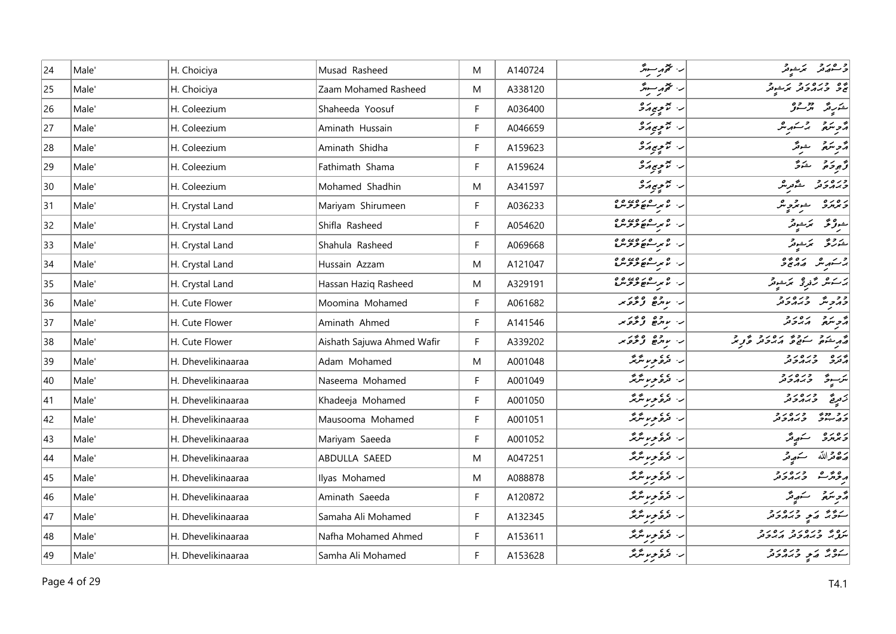| 24           | Male' | H. Choiciya        | Musad Rasheed              | M  | A140724 | ر، مخود سودگر<br>س                              | و قرار و مر موسور<br>مسلم توسيع مر مس                                                                                                                                                                                               |
|--------------|-------|--------------------|----------------------------|----|---------|-------------------------------------------------|-------------------------------------------------------------------------------------------------------------------------------------------------------------------------------------------------------------------------------------|
| 25           | Male' | H. Choiciya        | Zaam Mohamed Rasheed       | M  | A338120 | ر، مچم <sub>و</sub> سودگر                       | ر 2007 مرضور<br>مح 3000 مرشونر                                                                                                                                                                                                      |
| 26           | Male' | H. Coleezium       | Shaheeda Yoosuf            | F  | A036400 | ر. ئېموپىرىدۇ                                   |                                                                                                                                                                                                                                     |
| 27           | Male' | H. Coleezium       | Aminath Hussain            | F  | A046659 | ر. ئېموپىرۇ                                     | أأترسكم المراسم المراسر                                                                                                                                                                                                             |
| 28           | Male' | H. Coleezium       | Aminath Shidha             | F  | A159623 | ر، ٽٽموپي پرو                                   | و کا دیگر در سورگر<br>مرد منتقل مرد کرد                                                                                                                                                                                             |
| 29           | Male' | H. Coleezium       | Fathimath Shama            | F  | A159624 | ر، سمو پروژ                                     | توجوجو الشوقر                                                                                                                                                                                                                       |
| 30           | Male' | H. Coleezium       | Mohamed Shadhin            | M  | A341597 | ر، نٽموِيږدو                                    | ورەرو ئەرش                                                                                                                                                                                                                          |
| 31           | Male' | H. Crystal Land    | Mariyam Shirumeen          | F  | A036233 | ر. ه بر سوم ده ده ه                             | ره ره <sub>شومرو مر</sub>                                                                                                                                                                                                           |
| 32           | Male' | H. Crystal Land    | Shifla Rasheed             | F  | A054620 | ر. ه مرسو د وده و ه                             | خورگر تم ترخوش                                                                                                                                                                                                                      |
| 33           | Male' | H. Crystal Land    | Shahula Rasheed            | F. | A069668 | ر. ه بر حود وړه وه<br>ر. لابر حود ورو           | شورى كرشوش                                                                                                                                                                                                                          |
| 34           | Male' | H. Crystal Land    | Hussain Azzam              | M  | A121047 | ر. ه بر سوء ده ده و ه<br>ر. ما بر سود بورو بر د | sena sing                                                                                                                                                                                                                           |
| 35           | Male' | H. Crystal Land    | Hassan Haziq Rasheed       | M  | A329191 | ر. ئەبر مەمەمە                                  | ر کے مگر گرفتر تو مرکب دیگر<br> - کامیکس کے مگر کے مگر کے مگر کے مگر کے مگر کے مگر کے مگر کے مگر کے مگر کے مگر کے مگر کے مگر کو مگر کو مگر کو<br> - کامی کو مگر کو مگر کے مگر کے مگر کے مگر کے مگر کو مگر کو مگر کو مگر کو مگر کو م |
| 36           | Male' | H. Cute Flower     | Moomina Mohamed            | F  | A061682 | ر . بروه و و څو پر                              | כתב ית כמסגב                                                                                                                                                                                                                        |
| 37           | Male' | H. Cute Flower     | Aminath Ahmed              | F  | A141546 | ر . بروه و و و در                               | ومحاصره والمردح ومردح                                                                                                                                                                                                               |
| 38           | Male' | H. Cute Flower     | Aishath Sajuwa Ahmed Wafir | F  | A339202 | ~ بورج وقحقه                                    |                                                                                                                                                                                                                                     |
| 39           | Male' | H. Dhevelikinaaraa | Adam Mohamed               | M  | A001048 | ر بموکر مرتبگه                                  | برره وره رو<br>محرد وبرمرو                                                                                                                                                                                                          |
| 40           | Male' | H. Dhevelikinaaraa | Naseema Mohamed            | F  | A001049 | ر بموظور مترنگه                                 | و ره ر و<br>تر پر ژمر<br>  يتزىسيونخ                                                                                                                                                                                                |
| 41           | Male' | H. Dhevelikinaaraa | Khadeeja Mohamed           | F  | A001050 | ر. مۇھ بىر مىگە                                 | و ره ر د<br>تر پر ژنر<br>  ترْمِرِيَّ                                                                                                                                                                                               |
| 42           | Male' | H. Dhevelikinaaraa | Mausooma Mohamed           | F  | A001051 | ر. مۇھ بىر مىگە                                 | ر و دوءِ<br>وهرسون<br>و ره ر و<br><i>و پ</i> رو تر                                                                                                                                                                                  |
| $ 43\rangle$ | Male' | H. Dhevelikinaaraa | Mariyam Saeeda             | F  | A001052 | ر . ئۇۋىرىدىنىڭ                                 | تر جو ہر و<br>ت<br>ستهرتر                                                                                                                                                                                                           |
| 44           | Male' | H. Dhevelikinaaraa | ABDULLA SAEED              | M  | A047251 | ر. ئۇۋىرىدىنىڭ                                  | رەقمەللە خەرقمە                                                                                                                                                                                                                     |
| 45           | Male' | H. Dhevelikinaaraa | Ilyas Mohamed              | M  | A088878 | ر. ئۇۋىزىدىنىڭ                                  | و ده دره دره در                                                                                                                                                                                                                     |
| 46           | Male' | H. Dhevelikinaaraa | Aminath Saeeda             | F  | A120872 | ر. ئۇقرىرىنىڭ                                   | أرمح سنروشر المستورثة                                                                                                                                                                                                               |
| 47           | Male' | H. Dhevelikinaaraa | Samaha Ali Mohamed         | F  | A132345 |                                                 | مروره المرد و دره داد                                                                                                                                                                                                               |
| 48           | Male' | H. Dhevelikinaaraa | Nafha Mohamed Ahmed        | F. | A153611 | ر وي در پژو<br>ر ورو در پژو                     | ره به دره رو ره رو<br>سرو پر دربرد بربرد                                                                                                                                                                                            |
| 49           | Male' | H. Dhevelikinaaraa | Samha Ali Mohamed          | F  | A153628 | ر . مۇھ بىر بىر ئىگە                            | سوم دو وره دو                                                                                                                                                                                                                       |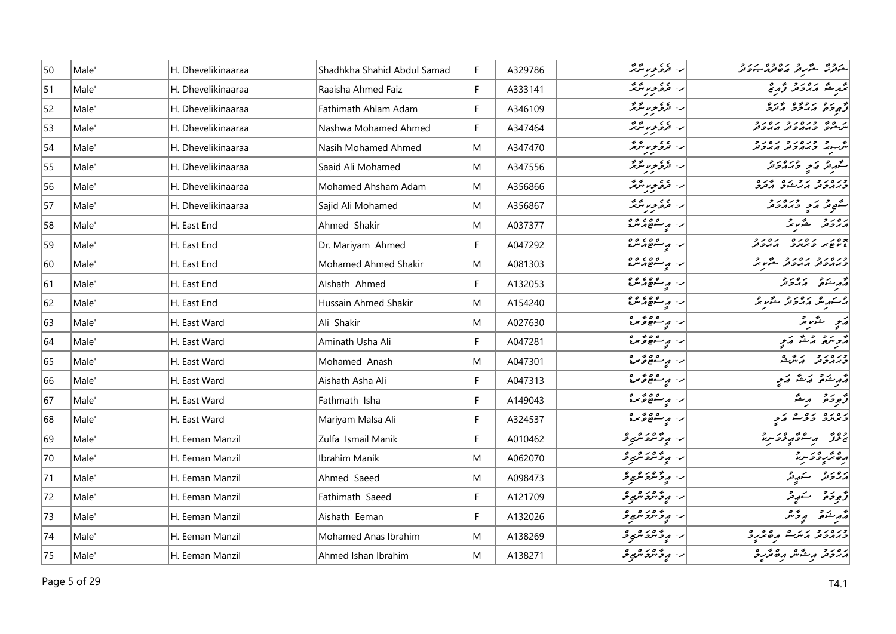| 50 | Male' | H. Dhevelikinaaraa | Shadhkha Shahid Abdul Samad | F  | A329786 | ر به مذکوع مرتنگه       | ر و د ه د و ره وه ر ر و<br>شوترز شورتر مان تهريب وتر    |
|----|-------|--------------------|-----------------------------|----|---------|-------------------------|---------------------------------------------------------|
| 51 | Male' | H. Dhevelikinaaraa | Raaisha Ahmed Faiz          | F  | A333141 | ر په مؤکور مرتگه        | بمهر کے مربر دی تو دی                                   |
| 52 | Male' | H. Dhevelikinaaraa | Fathimath Ahlam Adam        | F. | A346109 | ر. مۇھ بەر ئىگە         | و د د د دوه وده<br>ژبوده مدنود مترد                     |
| 53 | Male' | H. Dhevelikinaaraa | Nashwa Mohamed Ahmed        | F. | A347464 | ر. مۇھ بىر مەنگە        | ر و په درور د درورو<br>سرشوي ورمرونر مدونر              |
| 54 | Male' | H. Dhevelikinaaraa | Nasih Mohamed Ahmed         | M  | A347470 | ر. مۇھ بەر ئىگە         | نگرسون ورەرو رەرو<br>نگرسون وپروفر مدوفر                |
| 55 | Male' | H. Dhevelikinaaraa | Saaid Ali Mohamed           | M  | A347556 | ر . قرة و با يترنتر     | أنشرو كمو وبرودو                                        |
| 56 | Male' | H. Dhevelikinaaraa | Mohamed Ahsham Adam         | M  | A356866 | ر بن عروبر مثر پژ       | ورەر د در دره پره<br><i>دېرم</i> ونر م <i>رش</i> و مترو |
| 57 | Male' | H. Dhevelikinaaraa | Sajid Ali Mohamed           | M  | A356867 | ر . قرة وبر مثر تُر     | أنشجو كالمحمو ومتارو فر                                 |
| 58 | Male' | H. East End        | Ahmed Shakir                | M  | A037377 | ر. بر حوم مرد           | دەرو ھەرى                                               |
| 59 | Male' | H. East End        | Dr. Mariyam Ahmed           | F. | A047292 | ر. بر حوم مرد           | <b>אפי נפים נפיכ</b>                                    |
| 60 | Male' | H. East End        | Mohamed Ahmed Shakir        | M  | A081303 | ر. بر حقد س             | ورەرو رەرو شركو                                         |
| 61 | Male' | H. East End        | Alshath Ahmed               | F  | A132053 | ر. بر حوم مرد           | وكمرشوخ وكرور                                           |
| 62 | Male' | H. East End        | Hussain Ahmed Shakir        | M  | A154240 | ر. بر حوم مرد           | ج سەر شەھەر ئەھمەسى                                     |
| 63 | Male' | H. East Ward       | Ali Shakir                  | M  | A027630 | ر. بر حقوقها            | ە ئەستىدىتى بىر                                         |
| 64 | Male' | H. East Ward       | Aminath Usha Ali            | F. | A047281 | ر. بر شوء مره           | أأرضع المشكر أيامي                                      |
| 65 | Male' | H. East Ward       | Mohamed Anash               | M  | A047301 | ر. بر حقومه             | ورەرو كەرگ                                              |
| 66 | Male' | H. East Ward       | Aishath Asha Ali            | F  | A047313 | ر. بر حقومه             | مەرشۇم كەش كەي                                          |
| 67 | Male' | H. East Ward       | Fathmath Isha               | F  | A149043 | ر. بر حقوم ده           | قەم ئەھم بەيگە                                          |
| 68 | Male' | H. East Ward       | Mariyam Malsa Ali           | F  | A324537 | ر. بر شوء دره           |                                                         |
| 69 | Male' | H. Eeman Manzil    | Zulfa Ismail Manik          | F  | A010462 | ر. رِوَّسْرَة سُمِّعْ   |                                                         |
| 70 | Male' | H. Eeman Manzil    | Ibrahim Manik               | M  | A062070 | ر. رۇشۇشبى ۋ            | ەھ ئەر 35 سرىر<br>م                                     |
| 71 | Male' | H. Eeman Manzil    | Ahmed Saeed                 | M  | A098473 | ر. رۇمۇمىرىمۇ           | رەرو سەر                                                |
| 72 | Male' | H. Eeman Manzil    | Fathimath Saeed             | F  | A121709 | ر. رۇشۇشبۇ              | أزُّهِ وَدَهُ مُسَوَّرِ مُرْ                            |
| 73 | Male' | H. Eeman Manzil    | Aishath Eeman               | F  | A132026 | ر. رِوَّسْرَوْسْرِهِ وَ | م المستوفر المركب                                       |
| 74 | Male' | H. Eeman Manzil    | Mohamed Anas Ibrahim        | M  | A138269 | ر. روژمرو مربو و        | כממכנק גיק בי השיקיק                                    |
| 75 | Male' | H. Eeman Manzil    | Ahmed Ishan Ibrahim         | M  | A138271 | ر. رۇشۇشجۇ              | رەر دېگە ئەستەر ئەستىر ئە                               |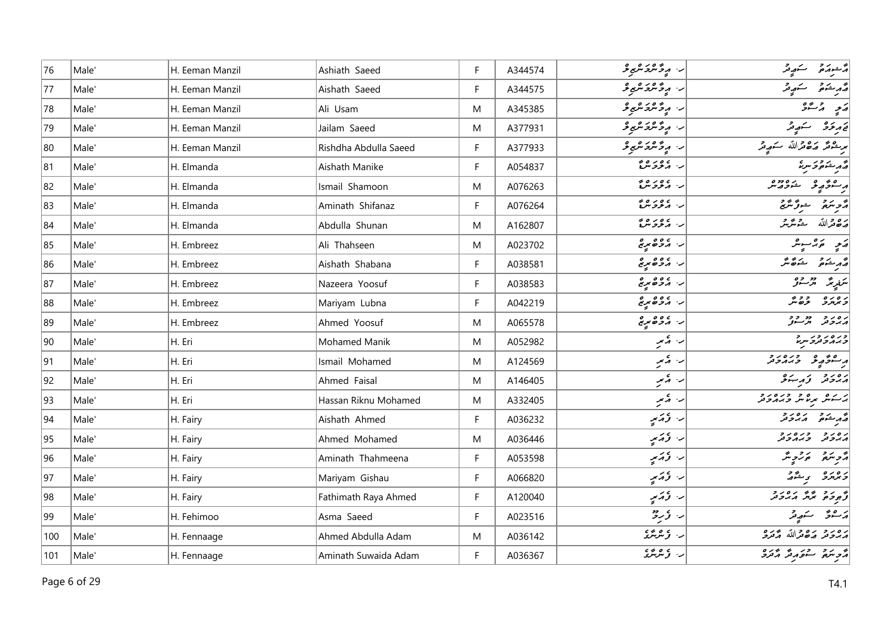| 76  | Male' | H. Eeman Manzil | Ashiath Saeed         | F | A344574 | ر. رۇشۇشى ۋ           | م شوره و کرد ته<br>م شوره در سکوپر                                                                            |
|-----|-------|-----------------|-----------------------|---|---------|-----------------------|---------------------------------------------------------------------------------------------------------------|
| 77  | Male' | H. Eeman Manzil | Aishath Saeed         | F | A344575 | ر. رِوَّسْرَسْمِعْ    | $\frac{1}{\begin{array}{ccc} 1 & 1 & 1 \\ 0 & 1 & 1 \\ 0 & 0 & 0 \end{array}}$                                |
| 78  | Male' | H. Eeman Manzil | Ali Usam              | M | A345385 | ر. رِوَسْرَسْمِوْ     | أەيئى ئەستەۋ                                                                                                  |
| 79  | Male' | H. Eeman Manzil | Jailam Saeed          | M | A377931 | ر. رۇشۇشى ۋ           | فيهويحرق ستهيقه                                                                                               |
| 80  | Male' | H. Eeman Manzil | Rishdha Abdulla Saeed | F | A377933 | ر. رۇشۇش ۋ            | مرشونگر و صحرالله سکور تر                                                                                     |
| 81  | Male' | H. Elmanda      | Aishath Manike        | F | A054837 | ر په وره په           | ۇ مەشھۇتىرىكى<br>مەسسىم                                                                                       |
| 82  | Male' | H. Elmanda      | Ismail Shamoon        | M | A076263 | ر په وره په           | د ه د ده ده ده ده د                                                                                           |
| 83  | Male' | H. Elmanda      | Aminath Shifanaz      | F | A076264 | ر په وره په           | أوالمحر سنروش الملحمة                                                                                         |
| 84  | Male' | H. Elmanda      | Abdulla Shunan        | M | A162807 | ر په وره په           | شە ئەشرىتر<br>برە برالله                                                                                      |
| 85  | Male' | H. Embreez      | Ali Thahseen          | M | A023702 | $rac{0}{6}$           | ە ئو ھېرىسى                                                                                                   |
| 86  | Male' | H. Embreez      | Aishath Shabana       | F | A038581 | $rac{1}{2}$           | ۇرىشكى ئىگەر                                                                                                  |
| 87  | Male' | H. Embreez      | Nazeera Yoosuf        | F | A038583 | ر. ۵۶۵ مرج            | سَ <sub>فَرِ</sub> سَرَ مَرْ سَنَرَ مَنْ                                                                      |
| 88  | Male' | H. Embreez      | Mariyam Lubna         | F | A042219 | $rac{1}{6}$           | دەرە دەپ                                                                                                      |
| 89  | Male' | H. Embreez      | Ahmed Yoosuf          | M | A065578 | ر. روه برج            | د ۱۵ د ۱۵ و و د<br>  د بر د د سرگر                                                                            |
| 90  | Male' | H. Eri          | <b>Mohamed Manik</b>  | M | A052982 | ر . و تبر             | כנים ניכן<br>כמו כנקב ייקוד                                                                                   |
| 91  | Male' | H. Eri          | Ismail Mohamed        | M | A124569 | ر .<br>بر . مگر<br>بر | وستوكي وبرورد                                                                                                 |
| 92  | Male' | H. Eri          | Ahmed Faisal          | M | A146405 | ر، ويمبر              | دەرەر تەرىبتۇ                                                                                                 |
| 93  | Male' | H. Eri          | Hassan Riknu Mohamed  | M | A332405 | براسمير               | د ره وه وره دو<br>پرستنگر مورد بر وبر دولر                                                                    |
| 94  | Male' | H. Fairy        | Aishath Ahmed         | F | A036232 | ر دېم په              | $\begin{array}{c cc} \hline 2200 & 2600 \\ 0 & 0 & 0 \end{array}$                                             |
| 95  | Male' | H. Fairy        | Ahmed Mohamed         | M | A036446 | ر. دېم پېړ            | גפגב בגםגב<br>הגבע בגהבע                                                                                      |
| 96  | Male' | H. Fairy        | Aminath Thahmeena     | F | A053598 | ر، دېم په             | أزويتم وترويثر                                                                                                |
| 97  | Male' | H. Fairy        | Mariyam Gishau        | F | A066820 | ر . تۇرىپر            | و ده ده در در در در کار در کار در کار در کار در کار در کار در کار در کار در کار در کار در کار در کار در کار د |
| 98  | Male' | H. Fairy        | Fathimath Raya Ahmed  | F | A120040 | اس قەتىر              | و دو په ده دو                                                                                                 |
| 99  | Male' | H. Fehimoo      | Asma Saeed            | F | A023516 | ر. ڈرچ                | پر دی سے پیمر                                                                                                 |
| 100 | Male' | H. Fennaage     | Ahmed Abdulla Adam    | M | A036142 | ر. ۇېرىش              | ره رو ره درالله محدد                                                                                          |
| 101 | Male' | H. Fennaage     | Aminath Suwaida Adam  | F | A036367 | ر. ۇ ئەرمىي           | أأدمره ودراء المرد                                                                                            |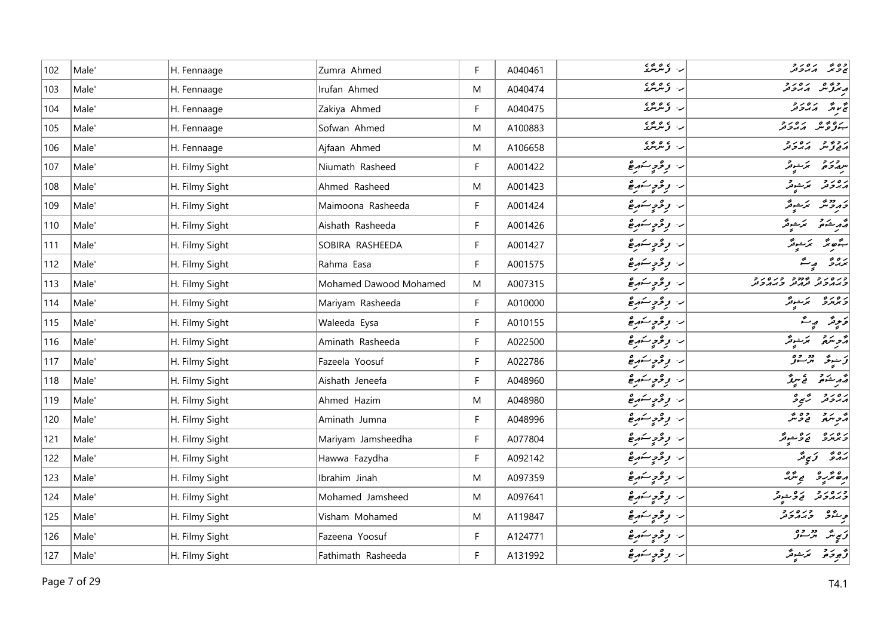| 102 | Male' | H. Fennaage    | Zumra Ahmed            | F           | A040461 | ر. ۇيرىئرى            | وه پره رو<br>محر <sub>م</sub> کررونر            |
|-----|-------|----------------|------------------------|-------------|---------|-----------------------|-------------------------------------------------|
| 103 | Male' | H. Fennaage    | Irufan Ahmed           | M           | A040474 | ر. وعريبي             | پروژو<br>ە بىر تۈر                              |
| 104 | Male' | H. Fennaage    | Zakiya Ahmed           | $\mathsf F$ | A040475 | ر. ۇ ئەرمۇي           | مج مرش مدر در د                                 |
| 105 | Male' | H. Fennaage    | Sofwan Ahmed           | M           | A100883 | ر. ۇ ئەرمىي           | بەۋەش كەردىر                                    |
| 106 | Male' | H. Fennaage    | Ajfaan Ahmed           | M           | A106658 | ر. ۇېرىش              | روور رورد                                       |
| 107 | Male' | H. Filmy Sight | Niumath Rasheed        | F           | A001422 | ر. وِ وُجِ سَهْرِ ۾   | سروكو كالمستوفر                                 |
| 108 | Male' | H. Filmy Sight | Ahmed Rasheed          | M           | A001423 | ر . و و د په مرغ      | كالمرواز المتحصر                                |
| 109 | Male' | H. Filmy Sight | Maimoona Rasheeda      | F           | A001424 | ر . و و د په مرغ      | 13,5% كرمۇنگە                                   |
| 110 | Male' | H. Filmy Sight | Aishath Rasheeda       | F           | A001426 | ر. ودوچسکره<br>مستقیم | ر<br>ر <sub>گ</sub> رځو ترخونگر                 |
| 111 | Male' | H. Filmy Sight | SOBIRA RASHEEDA        | $\mathsf F$ | A001427 | ر، وِوْدِيسَهِ ۾      |                                                 |
| 112 | Male' | H. Filmy Sight | Rahma Easa             | F           | A001575 | ر، وِوْدِسَهِ ۾       | أتروي المنافي                                   |
| 113 | Male' | H. Filmy Sight | Mohamed Dawood Mohamed | M           | A007315 | ر . وِ وُجِ سَنَهُ هِ | כנסני שמכבי כנסניב<br>הממכת תמת הממכת           |
| 114 | Male' | H. Filmy Sight | Mariyam Rasheeda       | F.          | A010000 | ر . وِ وُجِ سَهْرِ ڠْ | و ورو پر مورگر                                  |
| 115 | Male' | H. Filmy Sight | Waleeda Eysa           | F           | A010155 | ر . و و د په موقع     | أقرمته أياسة                                    |
| 116 | Male' | H. Filmy Sight | Aminath Rasheeda       | F           | A022500 | ر و و دیگر هم         | أأروبتهم بمرسوقه                                |
| 117 | Male' | H. Filmy Sight | Fazeela Yoosuf         | F           | A022786 | ر. وِوْدٍ سَهرِ ۾     | ۇ ئىبۇ ھەردۇ                                    |
| 118 | Male' | H. Filmy Sight | Aishath Jeneefa        | F           | A048960 | ر . و ۋە يە ئىمرىقى   | أقهر مشكرة كالمحاملة                            |
| 119 | Male' | H. Filmy Sight | Ahmed Hazim            | M           | A048980 | ر . و و د په په ه     | بر ه بر د<br>م <i>.بر</i> و تر<br>ر گنج و       |
| 120 | Male' | H. Filmy Sight | Aminath Jumna          | F           | A048996 | ر، وِوْدِيسَهِ ۾      | و ه عر<br>مع حر متر<br>أرمز تر                  |
| 121 | Male' | H. Filmy Sight | Mariyam Jamsheedha     | F           | A077804 | ر . و و د په په ه     | تر جو بر و<br>تر بر بر بر<br>تح گر شونگر        |
| 122 | Male' | H. Filmy Sight | Hawwa Fazydha          | F           | A092142 | ر. ودوچسکره<br>سیستان | برە ئە ئەيەتر                                   |
| 123 | Male' | H. Filmy Sight | Ibrahim Jinah          | M           | A097359 | ر . و و د پره ه       | رەنزىر يېتىد                                    |
| 124 | Male' | H. Filmy Sight | Mohamed Jamsheed       | M           | A097641 | ر، ودوچسمبر           | ورەرو رەئىيەتە<br><mark>جەمەدىر يى</mark> ۋىئىي |
| 125 | Male' | H. Filmy Sight | Visham Mohamed         | M           | A119847 | ر. وِ وُجِ سَهرِ ۾    | و رە ر د<br><i>د بر</i> گرىر<br>  عرشہ ح        |
| 126 | Male' | H. Filmy Sight | Fazeena Yoosuf         | F.          | A124771 | ر ووديده              | ۇي ئىر ئۆزىنىۋ                                  |
| 127 | Male' | H. Filmy Sight | Fathimath Rasheeda     | F           | A131992 | ر، وِوْدِسَهِ ۾       | وتموضي المتحصر                                  |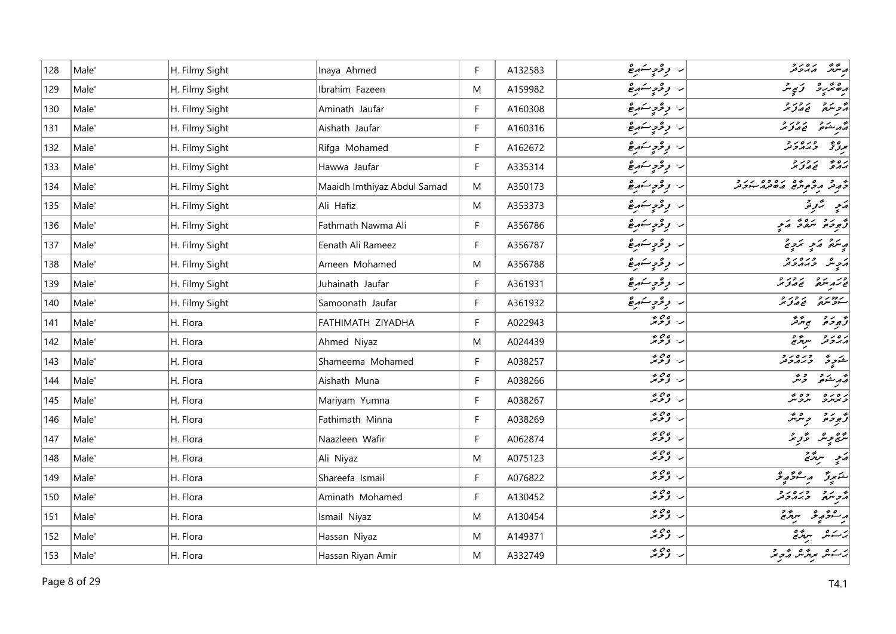| 128 | Male' | H. Filmy Sight | Inaya Ahmed                 | F         | A132583 | ر، ووګو سکه هی        | ويتمده مددور                           |
|-----|-------|----------------|-----------------------------|-----------|---------|-----------------------|----------------------------------------|
| 129 | Male' | H. Filmy Sight | Ibrahim Fazeen              | M         | A159982 | ر . و ۋوپىتىر ۋ       | أرەنئەر ئېتى                           |
| 130 | Male' | H. Filmy Sight | Aminath Jaufar              | F         | A160308 | ر و د د په ه          | أثرم شمع والمحدوث                      |
| 131 | Male' | H. Filmy Sight | Aishath Jaufar              | F         | A160316 | ر، وِوْدِيسَهِ ۾      | وكرم شكو المتحدد والمحر                |
| 132 | Male' | H. Filmy Sight | Rifga Mohamed               | F         | A162672 | ر، وِوْدِيسَهِ ۾      | پروتخ وره د و                          |
| 133 | Male' | H. Filmy Sight | Hawwa Jaufar                | F         | A335314 | ر . و و د په شهر ه    | $7732$ $301$                           |
| 134 | Male' | H. Filmy Sight | Maaidh Imthiyaz Abdul Samad | M         | A350173 | ر. وِ وُجِ سَهُ هِ عَ | ב ב תכם מגם הסכם הגב                   |
| 135 | Male' | H. Filmy Sight | Ali Hafiz                   | ${\sf M}$ | A353373 | ر و و دیگر هم         | ړې پرونو                               |
| 136 | Male' | H. Filmy Sight | Fathmath Nawma Ali          | F         | A356786 | ر، ووګوړینې           | و دو ره و دې                           |
| 137 | Male' | H. Filmy Sight | Eenath Ali Rameez           | F         | A356787 | ر . و ژو په مرغ       | ويتكفر وكمتح بمرجع                     |
| 138 | Male' | H. Filmy Sight | Ameen Mohamed               | M         | A356788 | ر. ووګو شهرهٔ         | ג'בֶת בג'וניב                          |
| 139 | Male' | H. Filmy Sight | Juhainath Jaufar            | F         | A361931 | ر. و و د په کمره      | اء مريد در در در د<br>  پنج مريد در س  |
| 140 | Male' | H. Filmy Sight | Samoonath Jaufar            | F         | A361932 | ر. و و د په موقع      | ر دور و در ور و                        |
| 141 | Male' | H. Flora       | FATHIMATH ZIYADHA           | F         | A022943 | ر. وەپر               | قَە ئۇچ ئىقرىتىگە                      |
| 142 | Male' | H. Flora       | Ahmed Niyaz                 | ${\sf M}$ | A024439 | ر. وەپر               | גם גד הבב                              |
| 143 | Male' | H. Flora       | Shameema Mohamed            | F         | A038257 | ر. ۋىچە پىچە          | و رە ر د<br>تر پر تر تر<br> شَدَرٍ رُّ |
| 144 | Male' | H. Flora       | Aishath Muna                | F         | A038266 | ر. ۋېچە               | أوكر شده وتكر                          |
| 145 | Male' | H. Flora       | Mariyam Yumna               | F         | A038267 | ر. وەپر               | ئەمەرە<br>يرو پر                       |
| 146 | Male' | H. Flora       | Fathimath Minna             | F         | A038269 | ر. ۋېچىگە             | حر مگرمگر<br>ا تو بر در<br>ا           |
| 147 | Male' | H. Flora       | Naazleen Wafir              | F         | A062874 | ر. وەپر               | مترچ محب شر<br>ۇ بويۇ                  |
| 148 | Male' | H. Flora       | Ali Niyaz                   | ${\sf M}$ | A075123 | ر. وەپر               | أوسمع المسترجم                         |
| 149 | Male' | H. Flora       | Shareefa Ismail             | F         | A076822 | ر. ۋېچىگە             | شەمورٌ<br>ەرسىۋەيج                     |
| 150 | Male' | H. Flora       | Aminath Mohamed             | F         | A130452 | ر. وەپر               | و در دره دره<br>مرد سره درمارد         |
| 151 | Male' | H. Flora       | Ismail Niyaz                | ${\sf M}$ | A130454 | ر. ۋېچە               | أوستوحي والمعرفية                      |
| 152 | Male' | H. Flora       | Hassan Niyaz                | M         | A149371 | ر. وه پڻ              | بر کے شریع مریض                        |
| 153 | Male' | H. Flora       | Hassan Riyan Amir           | ${\sf M}$ | A332749 | ر. ۋېچىگە             | يركبش بروزش وتحرير                     |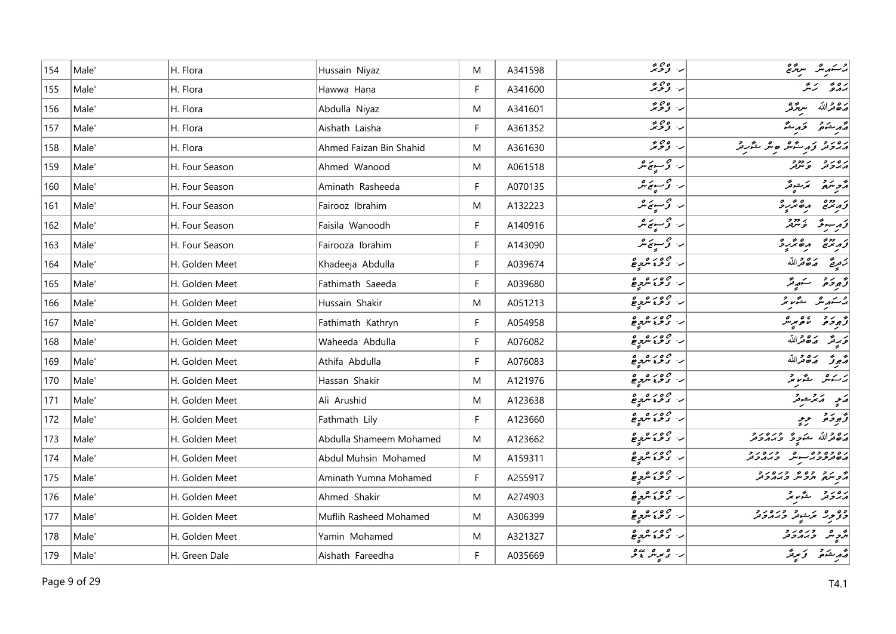| 154 | Male' | H. Flora       | Hussain Niyaz           | M  | A341598 | ر . وەپر          | 2سكەر شەمەتىقى                                                                                                              |
|-----|-------|----------------|-------------------------|----|---------|-------------------|-----------------------------------------------------------------------------------------------------------------------------|
| 155 | Male' | H. Flora       | Hawwa Hana              | F. | A341600 | ر. ۋىچە           | رەپ زىگە                                                                                                                    |
| 156 | Male' | H. Flora       | Abdulla Niyaz           | M  | A341601 | ر. وي پچ          | پره مرالله<br>سرمزقر                                                                                                        |
| 157 | Male' | H. Flora       | Aishath Laisha          | F  | A361352 | ر. ۋېچىتر         | أقهر شدة وتراسم                                                                                                             |
| 158 | Male' | H. Flora       | Ahmed Faizan Bin Shahid | M  | A361630 | ر. وەپر           | رەرد زېرىشكە ھېر ئۇرۇ                                                                                                       |
| 159 | Male' | H. Four Season | Ahmed Wanood            | M  | A061518 | ر . وګې په چې مثر | رەر دەر                                                                                                                     |
| 160 | Male' | H. Four Season | Aminath Rasheeda        | F. | A070135 | ر. ۇسېئى تىر      | أأترجم أتركو                                                                                                                |
| 161 | Male' | H. Four Season | Fairooz Ibrahim         | M  | A132223 | ر، ۇسىيەتكە       | ترميع مقترع                                                                                                                 |
| 162 | Male' | H. Four Season | Faisila Wanoodh         | F  | A140916 | ر، ۇسوئەتە        | قەرسىز ئەھەر                                                                                                                |
| 163 | Male' | H. Four Season | Fairooza Ibrahim        | F  | A143090 | ر. ۇسىيەتكە       | أقرمر جونبج<br>ەرھ ئۆر ۋ                                                                                                    |
| 164 | Male' | H. Golden Meet | Khadeeja Abdulla        | F. | A039674 |                   | ترىرىچ<br>سىر<br>ەھەراللە                                                                                                   |
| 165 | Male' | H. Golden Meet | Fathimath Saeeda        | F. | A039680 | $rac{1}{2}$       | ڙوڌو سُهڙ                                                                                                                   |
| 166 | Male' | H. Golden Meet | Hussain Shakir          | M  | A051213 | ر، گەمى كە ھەج ھ  | ر سے مر سر سے مریز<br>مرید سے مشکو                                                                                          |
| 167 | Male' | H. Golden Meet | Fathimath Kathryn       | F  | A054958 | ر، گۇنج ئىرچ      | قرم ده ده موسر                                                                                                              |
| 168 | Male' | H. Golden Meet | Waheeda Abdulla         | F  | A076082 | ر، گەم كە ئەرچ    | ع سوتمر محده تمرالله                                                                                                        |
| 169 | Male' | H. Golden Meet | Athifa Abdulla          | F  | A076083 | $\frac{1}{2}$     | أصبوقر الكاهرة الله                                                                                                         |
| 170 | Male' | H. Golden Meet | Hassan Shakir           | M  | A121976 | ر، ئۇقرىقرىقى     | يُرَسَدُ شَمَائِرٌ                                                                                                          |
| 171 | Male' | H. Golden Meet | Ali Arushid             | M  | A123638 | $rac{1}{2}$       | ار<br>اور موسم المرکب المراسم المرکب<br>المرکب المرکب المرکب المرکب المرکب المرکب المرکب المرکب المرکب المرکب المرکب المرکب |
| 172 | Male' | H. Golden Meet | Fathmath Lily           | F. | A123660 | $rac{1}{2}$       | وتجوزه وو                                                                                                                   |
| 173 | Male' | H. Golden Meet | Abdulla Shameem Mohamed | M  | A123662 | ر، گەمى كە ھەم ھ  | رە داللە خوچ دىرەرد                                                                                                         |
| 174 | Male' | H. Golden Meet | Abdul Muhsin Mohamed    | M  | A159311 | ر، گۇنج ئىرچ      | ر ۵ ۶ ۵ ۶ ۵ م ۶ ۶ م ۶ د ۶<br>ג ه تر تر د بر سوسر می تر بر د تر                                                              |
| 175 | Male' | H. Golden Meet | Aminath Yumna Mohamed   | F. | A255917 | ر، گەنجە ئىرچە    | و دو وه وره دو<br>مرح مرح مرحد المرحمد                                                                                      |
| 176 | Male' | H. Golden Meet | Ahmed Shakir            | M  | A274903 | $rac{1}{2}$       | أربروتر الشرير                                                                                                              |
| 177 | Male' | H. Golden Meet | Muflih Rasheed Mohamed  | M  | A306399 | ر وه ده وه        | وو ور ترجد وره دو                                                                                                           |
| 178 | Male' | H. Golden Meet | Yamin Mohamed           | M  | A321327 | $rac{1}{2}$       | أثرج شرح وبره براد                                                                                                          |
| 179 | Male' | H. Green Dale  | Aishath Fareedha        | F. | A035669 | ر، و پرېثر ٤٤     | وكرماشكم وكبرقر                                                                                                             |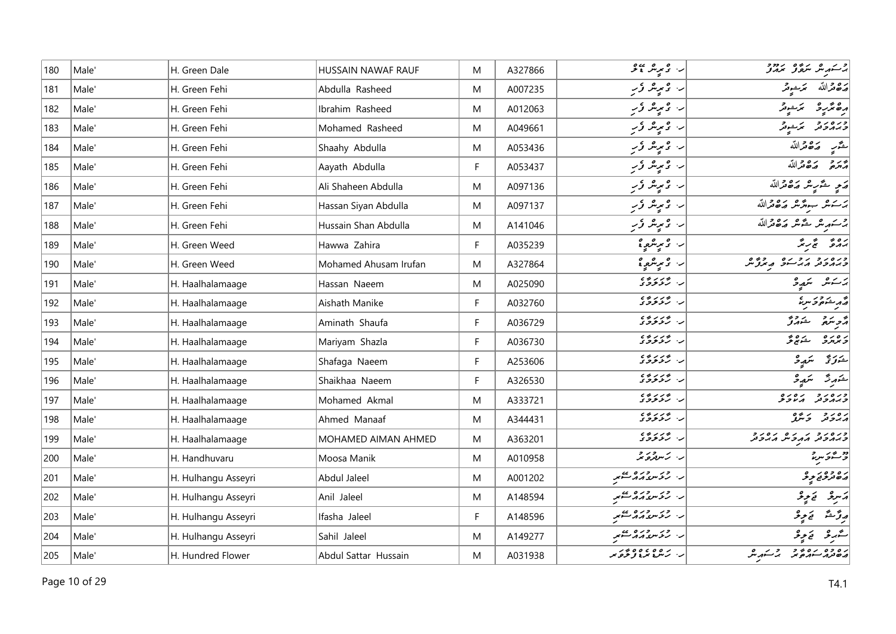| 180 | Male' | H. Green Dale       | HUSSAIN NAWAF RAUF    | M  | A327866 | ر، وېم په په و                          | ا د کرمر مگر برده در در د                       |
|-----|-------|---------------------|-----------------------|----|---------|-----------------------------------------|-------------------------------------------------|
| 181 | Male' | H. Green Fehi       | Abdulla Rasheed       | M  | A007235 | ر، دېمپېټر ؤېر                          | أركاه مترسومر                                   |
| 182 | Male' | H. Green Fehi       | Ibrahim Rasheed       | M  | A012063 | ر. ومړينه ؤېر                           | ەھەردە ئەھمەد<br>مەھەردە ئەھمەد                 |
| 183 | Male' | H. Green Fehi       | Mohamed Rasheed       | M  | A049661 | ر. ومړينگ وگړ                           | ورەرو كەنبەتر                                   |
| 184 | Male' | H. Green Fehi       | Shaahy Abdulla        | M  | A053436 | ر، دېمپېګر ؤېر                          | شَمَّرٍ <i>مَ<b>صْ</b>قَ</i> رَاللَّهُ          |
| 185 | Male' | H. Green Fehi       | Aayath Abdulla        | F  | A053437 | ر، وګمړينگر وګړ                         | أقرمره وكافرالله                                |
| 186 | Male' | H. Green Fehi       | Ali Shaheen Abdulla   | M  | A097136 | ر، دمچنی ور                             | أرسح فحصي وكالمقاللة                            |
| 187 | Male' | H. Green Fehi       | Hassan Siyan Abdulla  | M  | A097137 | ر، دېمپېګر ؤېر                          | برےمر ہوگر <i>مردو</i> راللّٰہ                  |
| 188 | Male' | H. Green Fehi       | Hussain Shan Abdulla  | M  | A141046 | ر، دمچریگر ڈر                           | جرستمبر مثر مثر متعدد الله                      |
| 189 | Male' | H. Green Weed       | Hawwa Zahira          | F  | A035239 | ر. ۇ پرىئرو ؟                           | پروی پچ پ                                       |
| 190 | Male' | H. Green Weed       | Mohamed Ahusam Irufan | M  | A327864 | ر. و بر شروع                            | ورەر د رورە مەدەر<br>دىرمەدىر مەسىر مەيزۇس      |
| 191 | Male' | H. Haalhalamaage    | Hassan Naeem          | M  | A025090 |                                         | يُرْسُو اللَّهُ مِنْ يَرْدِدْ وَالْمَدَّارِ     |
| 192 | Male' | H. Haalhalamaage    | Aishath Manike        | F  | A032760 | ر بەرىرە ئە<br>رەسىمى ئىرى              | ۇ ئەستەھ <sub>ۇ</sub> تەرتكى<br>مەرىشەھۇ تەرتكى |
| 193 | Male' | H. Haalhalamaage    | Aminath Shaufa        | F  | A036729 |                                         | أرتج سيتمرقر                                    |
| 194 | Male' | H. Haalhalamaage    | Mariyam Shazla        | F  | A036730 |                                         | رەرە شەھۇ                                       |
| 195 | Male' | H. Haalhalamaage    | Shafaga Naeem         | F  | A253606 | ر بەرىرە ئ<br>رسىمى ئىلىنى ئى           | ستوتو تخ<br>سمەر                                |
| 196 | Male' | H. Haalhalamaage    | Shaikhaa Naeem        | F. | A326530 |                                         | شَرْر سَمِدِ 3                                  |
| 197 | Male' | H. Haalhalamaage    | Mohamed Akmal         | M  | A333721 | ر بەرىر » ،<br>ر بەرىرى                 | כנסנכ נסנס<br>כגמכת העכב                        |
| 198 | Male' | H. Haalhalamaage    | Ahmed Manaaf          | M  | A344431 | ر . محرر و »<br>ر . مرکوکوی             | رەر دىپى                                        |
| 199 | Male' | H. Haalhalamaage    | MOHAMED AIMAN AHMED   | M  | A363201 | ر                                       | כנסגב גביל גםגב                                 |
| 200 | Male' | H. Handhuvaru       | Moosa Manik           | M  | A010958 | ر ، كەسەرگەنگە                          | ا تر مشر سر مرد من<br>مرد                       |
| 201 | Male' | H. Hulhangu Asseyri | Abdul Jaleel          | M  | A001202 | ر . گەنگەر 2 مەھمىتى ئىر                | ره وه د و و<br>د ه مروم و و                     |
| 202 | Male' | H. Hulhangu Asseyri | Anil Jaleel           | M  | A148594 | ر، رژندروره عامر                        | أترسو تخريد                                     |
| 203 | Male' | H. Hulhangu Asseyri | Ifasha Jaleel         | F  | A148596 | ر گرگوری می گر                          | مِرْکَّتْ کے موِکْر                             |
| 204 | Male' | H. Hulhangu Asseyri | Sahil Jaleel          | M  | A149277 | ر. رژیمبرد اره مهم                      | سەرىۋە ئەمرى                                    |
| 205 | Male' | H. Hundred Flower   | Abdul Sattar Hussain  | M  | A031938 | ر. رەە دەەردىر<br>ر. رىس ئىرە تۇنۇھ بىر | ره وه ره د و د و کرد ش                          |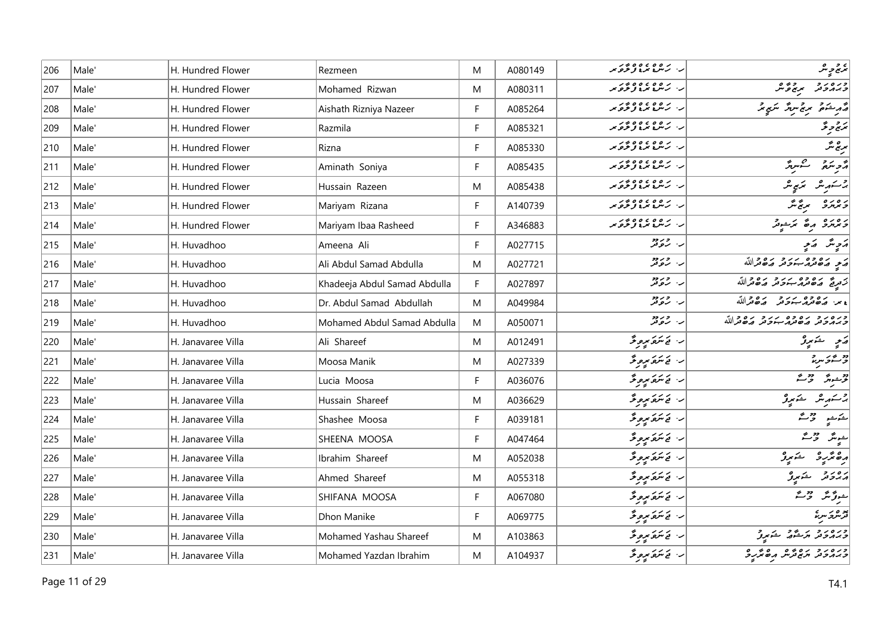| 206 | Male' | H. Hundred Flower  | Rezmeen                      | M  | A080149 | ر. روه ، ه ه ه در<br>ر. رس و بر و ترتویر                                                     | پرېږ <sub>چو</sub> مګر                                                                                                                            |
|-----|-------|--------------------|------------------------------|----|---------|----------------------------------------------------------------------------------------------|---------------------------------------------------------------------------------------------------------------------------------------------------|
| 207 | Male' | H. Hundred Flower  | Mohamed Rizwan               | M  | A080311 | ر . رەە ، رە ە دىر<br>ر . رىس ، مرە توخرى مر                                                 | ورەرو برومو                                                                                                                                       |
| 208 | Male' | H. Hundred Flower  | Aishath Rizniya Nazeer       | F. | A085264 | ر . رەە يەەەبەر<br>ر. رىس بىرە توخرى بىر                                                     | הוגיבים תגייתה יתון ב                                                                                                                             |
| 209 | Male' | H. Hundred Flower  | Razmila                      | F  | A085321 | ر . رەە ، رە ە دىر<br>ر . رىس ، مرە توخرى مر                                                 | ىر چ <sub>ە ح</sub> رىگە<br>مربع حر                                                                                                               |
| 210 | Male' | H. Hundred Flower  | Rizna                        | F  | A085330 | ر. روه ده وودر<br>ر. رس بروتونون                                                             | ىرىج يىڭر                                                                                                                                         |
| 211 | Male' | H. Hundred Flower  | Aminath Soniya               | F  | A085435 | ر بەرە دەھەر<br>رەسىيە بىرە توخرى بىر                                                        | سكسد<br>أرمز تر                                                                                                                                   |
| 212 | Male' | H. Hundred Flower  | Hussain Razeen               | M  | A085438 | ر . رەە دە دە دىر<br>ر. رىس دىر دىگرى بىر                                                    | چرىسىم ئىي ش                                                                                                                                      |
| 213 | Male' | H. Hundred Flower  | Mariyam Rizana               | F  | A140739 | ر . رەە ، ەە <i>ە دىر</i><br>ر . رىش مەن توقر <i>ى</i> م                                     | رەرە بەگە                                                                                                                                         |
| 214 | Male' | H. Hundred Flower  | Mariyam Ibaa Rasheed         | F  | A346883 | ر . رەە ، رە ە دىر<br>ر . رىس ، مرە توخرى مر                                                 | و مرمره مرځ مرکبوتر                                                                                                                               |
| 215 | Male' | H. Huvadhoo        | Ameena Ali                   | F. | A027715 | ر . رحمه تور<br>ر . رحمه تور                                                                 | أروپر اردا                                                                                                                                        |
| 216 | Male' | H. Huvadhoo        | Ali Abdul Samad Abdulla      | M  | A027721 | ر - حروو<br>ر - مرحوفر                                                                       | مر مصرم ده و دره رود الله                                                                                                                         |
| 217 | Male' | H. Huvadhoo        | Khadeeja Abdul Samad Abdulla | F. | A027897 | ر به حرود                                                                                    | ر ديد ده وه رر و ره و الله                                                                                                                        |
| 218 | Male' | H. Huvadhoo        | Dr. Abdul Samad Abdullah     | M  | A049984 | ر . رحمه تو<br>ر . رحمه تو                                                                   | وين مصرم بدو مصرالله                                                                                                                              |
| 219 | Male' | H. Huvadhoo        | Mohamed Abdul Samad Abdulla  | M  | A050071 | ر به حرود                                                                                    | وره رو بره وه بربرو برود.<br>وبرورو پره مرد برومر پره مرات                                                                                        |
| 220 | Male' | H. Janavaree Villa | Ali Shareef                  | M  | A012491 | ر ، ئے ئىر ئىمبرىر ئى                                                                        | ړې خومړنی<br>مش <u>ر</u>                                                                                                                          |
| 221 | Male' | H. Janavaree Villa | Moosa Manik                  | M  | A027339 | ر ، ئے متنظ میں بیر مح                                                                       | الترکھنے <sub>میں م</sub>                                                                                                                         |
| 222 | Male' | H. Janavaree Villa | Lucia Moosa                  | F. | A036076 | ر. ئے ئىرى برە بۇ                                                                            | وح شورگر اور جنگر<br>مراجع                                                                                                                        |
| 223 | Male' | H. Janavaree Villa | Hussain Shareef              | M  | A036629 | ر. ، ئەنتقە بىرە بىر                                                                         | چرىكىرىش ئىكەنپرۇ                                                                                                                                 |
| 224 | Male' | H. Janavaree Villa | Shashee Moosa                | F  | A039181 | ر. غ ئىرى بىرە بى                                                                            | $\begin{array}{cc} \overbrace{\mathcal{L} \rightarrow \mathcal{L}}^{\mathcal{P}} & \mathcal{L} \rightarrow \mathcal{L}^{\mathcal{P}} \end{array}$ |
| 225 | Male' | H. Janavaree Villa | SHEENA MOOSA                 | F  | A047464 | ر ، ئے ئىر كىمبرى گ                                                                          | ے پٹر اور م                                                                                                                                       |
| 226 | Male' | H. Janavaree Villa | Ibrahim Shareef              | M  | A052038 | ر ، ئے ئىر تمبر پر بڑ                                                                        | رەپزىر شىر                                                                                                                                        |
| 227 | Male' | H. Janavaree Villa | Ahmed Shareef                | M  | A055318 | ر په ټوکمپولو څ                                                                              | رەرد خىرۇ                                                                                                                                         |
| 228 | Male' | H. Janavaree Villa | SHIFANA MOOSA                | F  | A067080 | ر ، ئەنتقانىي ئەشتى                                                                          | المورٌ شرح حرجة                                                                                                                                   |
| 229 | Male' | H. Janavaree Villa | <b>Dhon Manike</b>           | F. | A069775 | ر ، ئے ئىرى برو بۇ                                                                           | بر و پر پر پر<br>قرمریز سربا                                                                                                                      |
| 230 | Male' | H. Janavaree Villa | Mohamed Yashau Shareef       | M  | A103863 | $\begin{bmatrix} \overline{\mathbf{r}} & \mathbf{r} \ \mathbf{r} & \mathbf{r} \end{bmatrix}$ | ورەر دېرگە ئەيرو                                                                                                                                  |
| 231 | Male' | H. Janavaree Villa | Mohamed Yazdan Ibrahim       | M  | A104937 | ر په ټوکو پوه د گ                                                                            | כנסגב גם כם הפילים<br>במהכת תאמת הפילים                                                                                                           |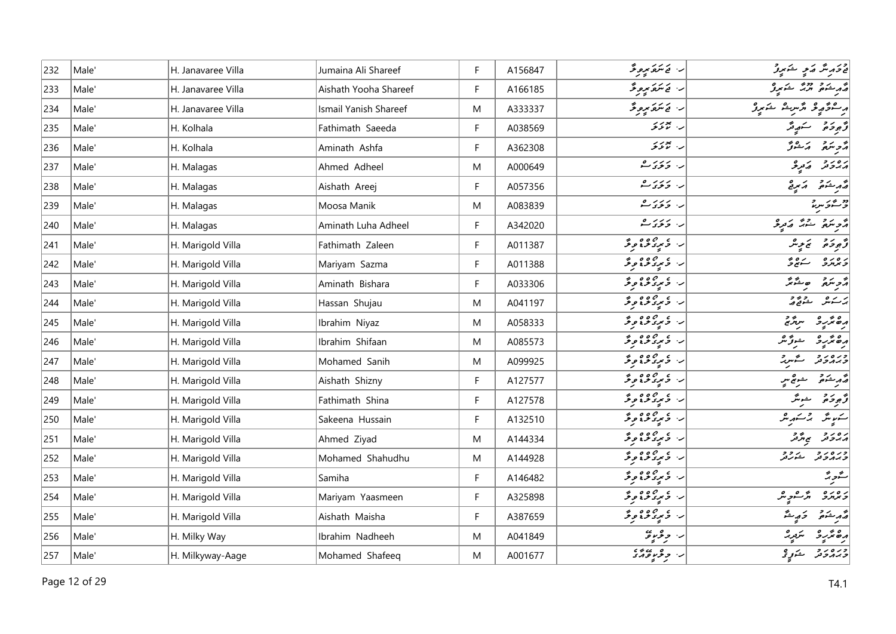| 232 | Male' | H. Janavaree Villa | Jumaina Ali Shareef   | F           | A156847 | ر ، ئے ئىن پروٹر    | فأذكر ش كالمح المشامرة                                                                                         |
|-----|-------|--------------------|-----------------------|-------------|---------|---------------------|----------------------------------------------------------------------------------------------------------------|
| 233 | Male' | H. Janavaree Villa | Aishath Yooha Shareef | F           | A166185 | ر ، ئے متفاجرہ بڑ   | و المر شو من المستقام المستقام المحمد و المستقام المستقام المستقام المستقام المستقام المستقام المستقام المستقا |
| 234 | Male' | H. Janavaree Villa | Ismail Yanish Shareef | M           | A333337 | ل - قائترة بروتر    | ىرىش <i>ۇم</i> پۇ م <sup>ۇ</sup> سرىش خ <i>ىرى</i> ر                                                           |
| 235 | Male' | H. Kolhala         | Fathimath Saeeda      | F           | A038569 | ر، کانونو           | ۇ بۇ ئەھمەتگە                                                                                                  |
| 236 | Male' | H. Kolhala         | Aminath Ashfa         | F           | A362308 | ر، غلائی            | ۇ جەمئى ئەسىئى                                                                                                 |
| 237 | Male' | H. Malagas         | Ahmed Adheel          | M           | A000649 | ر، ئەنزى شە         | پروژو   پرتورو                                                                                                 |
| 238 | Male' | H. Malagas         | Aishath Areej         | $\mathsf F$ | A057356 | ر. ئەنزىمى ھ        | أقهر مشتوق وكالمريح                                                                                            |
| 239 | Male' | H. Malagas         | Moosa Manik           | ${\sf M}$   | A083839 | ر، ئەنزى ھ          | وو پھر سرچ                                                                                                     |
| 240 | Male' | H. Malagas         | Aminath Luha Adheel   | F           | A342020 | ر، ئەبۇر ھ          | مەد سەھ ئىمە كەبرو                                                                                             |
| 241 | Male' | H. Marigold Villa  | Fathimath Zaleen      | $\mathsf F$ | A011387 | ر کا پرندونا و د    | أزَّوِدَةً بِمَعٍيْر                                                                                           |
| 242 | Male' | H. Marigold Villa  | Mariyam Sazma         | F           | A011388 | ر کا پرندونا و دَ   | ر ه ر ه<br><del>د</del> بربرد<br>رىر جەنز                                                                      |
| 243 | Male' | H. Marigold Villa  | Aminath Bishara       | F           | A033306 | ر که پرې وه وگړ     | ړم شره<br>ە ئەڭگە                                                                                              |
| 244 | Male' | H. Marigold Villa  | Hassan Shujau         | M           | A041197 | ر كەندى ئۇيدۇر      | ير سەش ھەقىم                                                                                                   |
| 245 | Male' | H. Marigold Villa  | Ibrahim Niyaz         | ${\sf M}$   | A058333 | ر کا پردگاه و گر    | ەر ھەتمەر 2<br>ب<br>سرگرم                                                                                      |
| 246 | Male' | H. Marigold Villa  | Ibrahim Shifaan       | ${\sf M}$   | A085573 | ر کا پرېموړه وگ     | ا پر ځانگړنه د<br>ىشە تۇ نىگر                                                                                  |
| 247 | Male' | H. Marigold Villa  | Mohamed Sanih         | M           | A099925 | ر که پرې وه وگړ     | و ره ر و<br><i>و بر</i> د تر تر<br>سەمىر                                                                       |
| 248 | Male' | H. Marigold Villa  | Aishath Shizny        | F           | A127577 | ر کا پردگاه و گ     | و مر د شو د<br>مر<br>ىشوچىس                                                                                    |
| 249 | Male' | H. Marigold Villa  | Fathimath Shina       | F           | A127578 | ر کا پرندونا و دَ   | قرم وكرة وسفر شومتر                                                                                            |
| 250 | Male' | H. Marigold Villa  | Sakeena Hussain       | F           | A132510 | ر کا پرندونا و دَ   | سكيانگر الرحمر بكر                                                                                             |
| 251 | Male' | H. Marigold Villa  | Ahmed Ziyad           | M           | A144334 | ر کا پرېموړه وگ     | رەر دېھرىر                                                                                                     |
| 252 | Male' | H. Marigold Villa  | Mohamed Shahudhu      | M           | A144928 | ر که پرې وه وگړ     | ورەر د مەدو<br>تەبەر تەرىخى                                                                                    |
| 253 | Male' | H. Marigold Villa  | Samiha                | F           | A146482 | ر کا پردگاه و گر    | ستمريز                                                                                                         |
| 254 | Male' | H. Marigold Villa  | Mariyam Yaasmeen      | F           | A325898 | ر کا پردگاه و گر    | ر ه بر ه<br>ېژگ <sub>و پ</sub> ر                                                                               |
| 255 | Male' | H. Marigold Villa  | Aishath Maisha        | F           | A387659 | ر کا پردگاه و گر    | أمريض وريشه                                                                                                    |
| 256 | Male' | H. Milky Way       | Ibrahim Nadheeh       | M           | A041849 | ر و و ري<br>ر       | ەر ھەئرىر <sup>ى</sup><br>سردر ح                                                                               |
| 257 | Male' | H. Milkyway-Aage   | Mohamed Shafeeq       | M           | A001677 | ر ووریږي<br>ر ووړود | ورەر دېم ئىر                                                                                                   |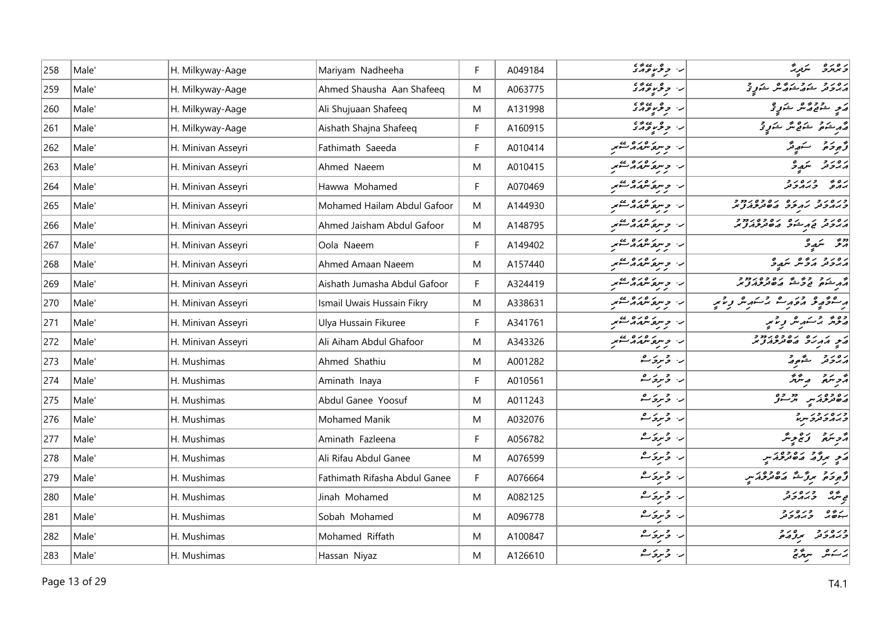| 258 | Male' | H. Milkyway-Aage   | Mariyam Nadheeha              | F. | A049184 | ر ویوری دی                           | وبروو برتوردٌ                                                                                                                                                                                                                   |
|-----|-------|--------------------|-------------------------------|----|---------|--------------------------------------|---------------------------------------------------------------------------------------------------------------------------------------------------------------------------------------------------------------------------------|
| 259 | Male' | H. Milkyway-Aage   | Ahmed Shausha Aan Shafeeq     | M  | A063775 | ر وورپروه                            | رەر دېھ ئەرگىيە ھۇر ئ                                                                                                                                                                                                           |
| 260 | Male' | H. Milkyway-Aage   | Ali Shujuaan Shafeeq          | M  | A131998 | ر و و په په په<br>ر کوچې             | أرو المعاقدة المستوري                                                                                                                                                                                                           |
| 261 | Male' | H. Milkyway-Aage   | Aishath Shajna Shafeeq        | F  | A160915 | ر و و عام و                          | و<br>و <sub>گ</sub> ر شرق شرق سگر اسکر پارچ                                                                                                                                                                                     |
| 262 | Male' | H. Minivan Asseyri | Fathimath Saeeda              | F  | A010414 | ر و سو مهره مند                      | أرتموخا محصي تكمي فكر                                                                                                                                                                                                           |
| 263 | Male' | H. Minivan Asseyri | Ahmed Naeem                   | M  | A010415 | ر و سره سره دره عصم                  | גפנק הגם                                                                                                                                                                                                                        |
| 264 | Male' | H. Minivan Asseyri | Hawwa Mohamed                 | F  | A070469 | Cut o 10 1 2 2 2                     | ره په وره رو<br>برمرو وبرمرونر                                                                                                                                                                                                  |
| 265 | Male' | H. Minivan Asseyri | Mohamed Hailam Abdul Gafoor   | M  | A144930 | ر وسوشماره عصم                       | כנסנכ מנפט נספסנפרד<br>כמהכת מקיפכ הסתיקה צי                                                                                                                                                                                    |
| 266 | Male' | H. Minivan Asseyri | Ahmed Jaisham Abdul Gafoor    | M  | A148795 | ر. وسره معده عبر                     | ג סג כן הייבור הסינקי כל הייכור ביו הייכור ביו הייכור ביו הייכור ביו הייכור ביו הייכור ביו הייכור ביו הייכור ב<br>הייכור ביו הייכור ביו הייכור ביו הייכור ביו הייכור ביו הייכור ביו הייכור ביו הייכור ביו הייכור ביו הייכור ביו |
| 267 | Male' | H. Minivan Asseyri | Oola Naeem                    | F  | A149402 | ر و سره سمده سنمبر<br>مسر د سره سمده | أثرقت استمدح                                                                                                                                                                                                                    |
| 268 | Male' | H. Minivan Asseyri | Ahmed Amaan Naeem             | M  | A157440 | ر و سوگرم و سم                       | גפגב גוב התל                                                                                                                                                                                                                    |
| 269 | Male' | H. Minivan Asseyri | Aishath Jumasha Abdul Gafoor  | F  | A324419 | ر. وسؤسكە قىيم                       | ه مدد و وهی ده وه دود و<br>تربرختمو فرگرختگو ماه تر ترتر تر                                                                                                                                                                     |
| 270 | Male' | H. Minivan Asseyri | Ismail Uwais Hussain Fikry    | M  | A338631 |                                      | مرڪبۇم پۇ مۇم 2 مىسكىرىنى بەلىي                                                                                                                                                                                                 |
| 271 | Male' | H. Minivan Asseyri | Ulya Hussain Fikuree          | F  | A341761 | ر . و سره سمه د هم سومر              | ووو برسمه شرورتني                                                                                                                                                                                                               |
| 272 | Male' | H. Minivan Asseyri | Ali Aiham Abdul Ghafoor       | M  | A343326 | ر. وسؤسم من عبر                      | و در در ده ده ده د                                                                                                                                                                                                              |
| 273 | Male' | H. Mushimas        | Ahmed Shathiu                 | M  | A001282 | ر. ۇېرۇپ                             | رەرد شەر                                                                                                                                                                                                                        |
| 274 | Male' | H. Mushimas        | Aminath Inaya                 | F  | A010561 | ر. ۋىرۇپ                             | ړې سره په سر                                                                                                                                                                                                                    |
| 275 | Male' | H. Mushimas        | Abdul Ganee Yoosuf            | M  | A011243 | ر. د پروگ                            | גם כסג ה- ככבים<br>השינות ה- כ                                                                                                                                                                                                  |
| 276 | Male' | H. Mushimas        | Mohamed Manik                 | M  | A032076 | ر. د گروگ                            | כנסיק בניקוד<br> בגורכנקביתו                                                                                                                                                                                                    |
| 277 | Male' | H. Mushimas        | Aminath Fazleena              | F  | A056782 | ر. ۋىرۇپ                             | مُرْجِسَهُ وَنَجْ جِسَّر                                                                                                                                                                                                        |
| 278 | Male' | H. Mushimas        | Ali Rifau Abdul Ganee         | M  | A076599 | ر. ۇېرۇپ                             | ג׳בְ זְנֹצְג ג׳בּיצְג´יתָ                                                                                                                                                                                                       |
| 279 | Male' | H. Mushimas        | Fathimath Rifasha Abdul Ganee | F  | A076664 | ر. ۇېرۇپ                             | ژودۇ برژىش مەرگەتبر                                                                                                                                                                                                             |
| 280 | Male' | H. Mushimas        | Jinah Mohamed                 | M  | A082125 | ر. ۋىرۇپ                             | و ره ر د<br>رنگرونر<br>  يو متركز                                                                                                                                                                                               |
| 281 | Male' | H. Mushimas        | Sobah Mohamed                 | M  | A096778 | ر. ئۇ برۇ شە                         | بەھ<br>و رە ر د<br><i>د ب</i> رگرىز                                                                                                                                                                                             |
| 282 | Male' | H. Mushimas        | Mohamed Riffath               | M  | A100847 | ر. د پروگ                            | و ره ر د<br><i>د ب</i> رگرفر<br>ىر ۋە ئە ج                                                                                                                                                                                      |
| 283 | Male' | H. Mushimas        | Hassan Niyaz                  | M  | A126610 | ر. د پروگ                            | يرَ سَدَسَ سَرَيْرَ جَ                                                                                                                                                                                                          |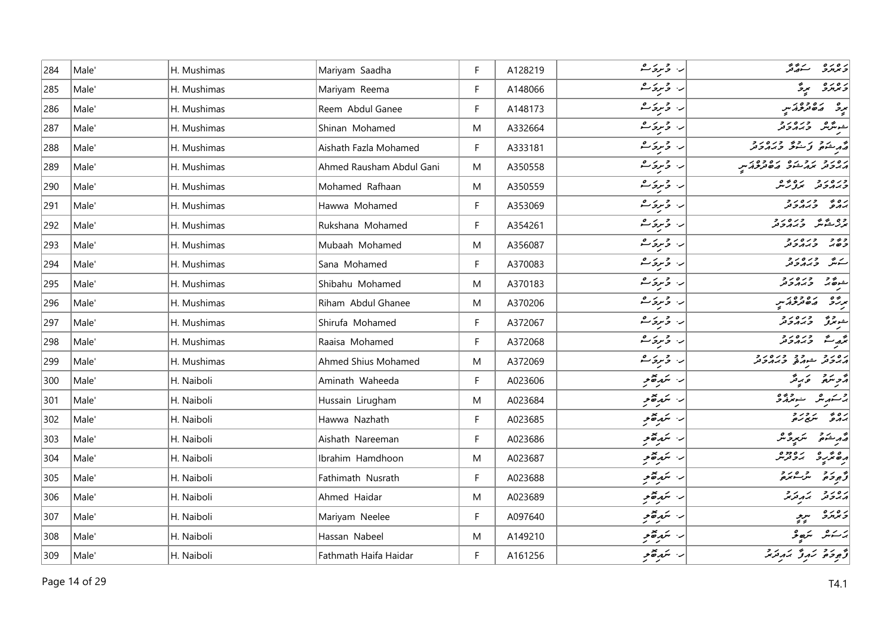| 284 | Male' | H. Mushimas | Mariyam Saadha           | F           | A128219 | ر. د پرځ ک       | سەھەتىر<br>و وړه                                         |
|-----|-------|-------------|--------------------------|-------------|---------|------------------|----------------------------------------------------------|
| 285 | Male' | H. Mushimas | Mariyam Reema            | F           | A148066 | ر. د گروگ        | ىبرىژ<br>ر ه ر ه<br><del>و</del> بربرو                   |
| 286 | Male' | H. Mushimas | Reem Abdul Ganee         | $\mathsf F$ | A148173 | ر. ژىردى         | پرې د مان ده ته کليمو                                    |
| 287 | Male' | H. Mushimas | Shinan Mohamed           | M           | A332664 | ر. د تروک        | ے شریعی ورہ دو<br>حومترین ویرمرونر                       |
| 288 | Male' | H. Mushimas | Aishath Fazla Mohamed    | F           | A333181 | ر. د برد م       | د در در دو دره در در د                                   |
| 289 | Male' | H. Mushimas | Ahmed Rausham Abdul Gani | M           | A350558 | ر. د گروگ        | ر و د و د د ه د د د و د وړ.<br>پر د تر مربر شو د ځورو ټر |
| 290 | Male' | H. Mushimas | Mohamed Rafhaan          | M           | A350559 | ر. ئۇيرى م       | ورەرو رەپەە<br><i>جەم</i> ەدىر برۇرىر                    |
| 291 | Male' | H. Mushimas | Hawwa Mohamed            | $\mathsf F$ | A353069 | ر. ژىرۇڭ         | و بره بر و<br>تر ټرکو تر<br>برە پە                       |
| 292 | Male' | H. Mushimas | Rukshana Mohamed         | F           | A354261 | ر. ژىردى         | وه شهر وره رو<br>برزخه شهر وبروفر                        |
| 293 | Male' | H. Mushimas | Mubaah Mohamed           | M           | A356087 | ر. د بردَ ک      | و رە ر د<br>تر پروتر<br>و پور                            |
| 294 | Male' | H. Mushimas | Sana Mohamed             | F           | A370083 | ر. ژىردى         | ے شر وره رو<br>سکس ورمارون                               |
| 295 | Male' | H. Mushimas | Shibahu Mohamed          | M           | A370183 | ر ، ۇېرۇپ        | و ره ر د<br><i>د ب</i> رگرفر<br>شەڭ بر                   |
| 296 | Male' | H. Mushimas | Riham Abdul Ghanee       | M           | A370206 | ر. د گروگ        | برزو ره دود بر                                           |
| 297 | Male' | H. Mushimas | Shirufa Mohamed          | $\mathsf F$ | A372067 | ر. ئۇ برىز م     | جوهرة وره دو                                             |
| 298 | Male' | H. Mushimas | Raaisa Mohamed           | F           | A372068 | ر. د گرد ک       | يممد شهر دره در                                          |
| 299 | Male' | H. Mushimas | Ahmed Shius Mohamed      | M           | A372069 | ر. ۇرۇپ          | رەر د مشرد درەر د<br>גرونر شرمۇ دىمەدىر                  |
| 300 | Male' | H. Naiboli  | Aminath Waheeda          | F.          | A023606 | ر. سَدِ پخو      | أأترسكم وكباقر                                           |
| 301 | Male' | H. Naiboli  | Hussain Lirugham         | M           | A023684 | ر. سَدِ پيچو     | جر شهر سن معروض                                          |
| 302 | Male' | H. Naiboli  | Hawwa Nazhath            | F           | A023685 | ر. سَدِ پخو      | پر 12 ر 12<br>سرچ سرچ<br>ر ه و<br>برد و                  |
| 303 | Male' | H. Naiboli  | Aishath Nareeman         | F           | A023686 | ر. سَدِ پيچو     | مەر خىكى ئىكرىگىر                                        |
| 304 | Male' | H. Naiboli  | Ibrahim Hamdhoon         | M           | A023687 | ر. سَدِ پخو      | ە بەر بەردە<br>مەھرىرى بەردىر                            |
| 305 | Male' | H. Naiboli  | Fathimath Nusrath        | F           | A023688 | ر سَمَدِ پختو    | ه د د د و د د د                                          |
| 306 | Male' | H. Naiboli  | Ahmed Haidar             | M           | A023689 | ر سَمَدِ پختو    |                                                          |
| 307 | Male' | H. Naiboli  | Mariyam Neelee           | F           | A097640 | ر. سَمَدِ څخه په | ر ه ر ه<br><del>و</del> بربرو<br>سوبو                    |
| 308 | Male' | H. Naiboli  | Hassan Nabeel            | M           | A149210 | ر. سَدِ پخو      | برسەشر<br>سَهوڤر                                         |
| 309 | Male' | H. Naiboli  | Fathmath Haifa Haidar    | F           | A161256 | ر. سَمَدِ څو     | توجوخو تهرتى بمهامر                                      |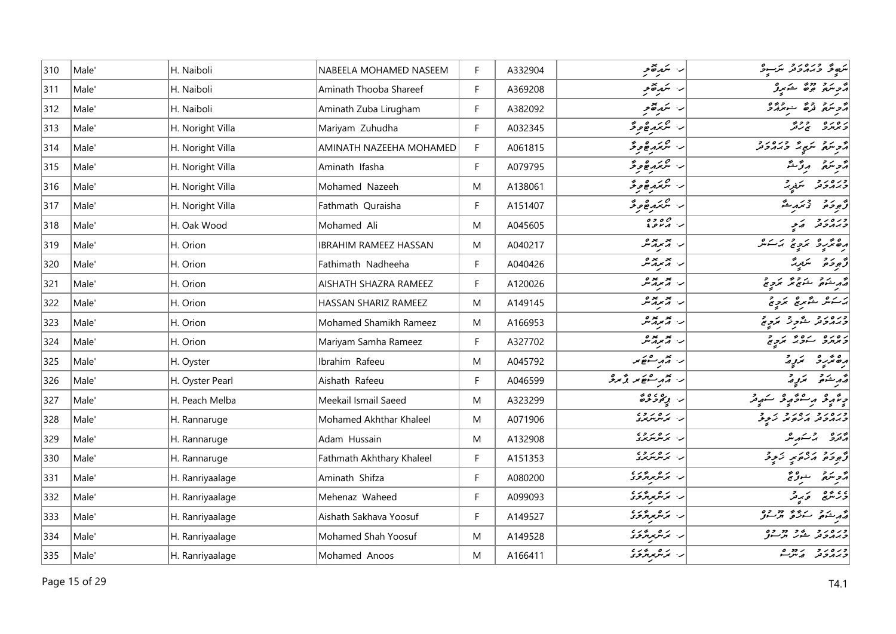| 310 | Male' | H. Naiboli       | NABEELA MOHAMED NASEEM       | F         | A332904 | ر سَمَدِ پختو                    | أنتهائه وبرود ترسوفه                                                                                                                                                                                                             |
|-----|-------|------------------|------------------------------|-----------|---------|----------------------------------|----------------------------------------------------------------------------------------------------------------------------------------------------------------------------------------------------------------------------------|
| 311 | Male' | H. Naiboli       | Aminath Thooba Shareef       | F         | A369208 | ر. سَدِ پخو                      | أأديتهم وهام المنهور                                                                                                                                                                                                             |
| 312 | Male' | H. Naiboli       | Aminath Zuba Lirugham        | F         | A382092 | ر. سَدِ صَعرِ                    | أأوسم فرقا مستراره                                                                                                                                                                                                               |
| 313 | Male' | H. Noright Villa | Mariyam Zuhudha              | F         | A032345 | ر. سرىمدە ھوڭ                    | ر ہ رہ دی۔<br>حمد مرکز سے رکز                                                                                                                                                                                                    |
| 314 | Male' | H. Noright Villa | AMINATH NAZEEHA MOHAMED      | F         | A061815 | ر. ئىرىمزمۇمۇ                    | أأدمر للمستبع أأداد والمحمد                                                                                                                                                                                                      |
| 315 | Male' | H. Noright Villa | Aminath Ifasha               | F         | A079795 | ر. ئىرتىر غورق                   | أأزجر سترقم ورقرشة                                                                                                                                                                                                               |
| 316 | Male' | H. Noright Villa | Mohamed Nazeeh               | M         | A138061 | ر. ئىزىمۇمۇمۇ                    | ورەرو شۆر                                                                                                                                                                                                                        |
| 317 | Male' | H. Noright Villa | Fathmath Quraisha            | F         | A151407 | ر مىزىد ھوڭە                     | أزجوخا وتحافر المحمد                                                                                                                                                                                                             |
| 318 | Male' | H. Oak Wood      | Mohamed Ali                  | M         | A045605 | ر. در ۱۶۵۵                       | ورەرو كەير                                                                                                                                                                                                                       |
| 319 | Male' | H. Orion         | <b>IBRAHIM RAMEEZ HASSAN</b> | M         | A040217 | ر. مجمعه محمده                   | رەپرىدۇ برېپى برخىر                                                                                                                                                                                                              |
| 320 | Male' | H. Orion         | Fathimath Nadheeha           | F         | A040426 | ر. میرمدهر                       | ۇيودۇ ئىرىد                                                                                                                                                                                                                      |
| 321 | Male' | H. Orion         | AISHATH SHAZRA RAMEEZ        | F         | A120026 | ر، میں پر پر م                   | وكرو شوخ المروح المراجع                                                                                                                                                                                                          |
| 322 | Male' | H. Orion         | HASSAN SHARIZ RAMEEZ         | M         | A149145 | ر. تیر پرچم                      | أيَاسكس مشريرهم الكرج حج                                                                                                                                                                                                         |
| 323 | Male' | H. Orion         | Mohamed Shamikh Rameez       | M         | A166953 | ر. میرمدینگر                     | ورەرو ئۇرۇ ترەپى                                                                                                                                                                                                                 |
| 324 | Male' | H. Orion         | Mariyam Samha Rameez         | F         | A327702 | ر، مجر میره<br>ر، مجمد میر       | د وړه د ده ور د                                                                                                                                                                                                                  |
| 325 | Male' | H. Oyster        | Ibrahim Rafeeu               | ${\sf M}$ | A045792 | ر، مجموعے مح                     | رە ئرىر ئىرىم                                                                                                                                                                                                                    |
| 326 | Male' | H. Oyster Pearl  | Aishath Rafeeu               | F         | A046599 | را بيهر سقي برا بو مرش           | أمار المستوفي المتعرفي ما                                                                                                                                                                                                        |
| 327 | Male' | H. Peach Melba   | Meekail Ismail Saeed         | M         | A323299 | ربه بوره ده ده                   | وٍ تَهُوفُ مِرْ عَوْمٍ فِي سَهِ مِنْ                                                                                                                                                                                             |
| 328 | Male' | H. Rannaruge     | Mohamed Akhthar Khaleel      | M         | A071906 |                                  | ورەرو رەرو زېږو                                                                                                                                                                                                                  |
| 329 | Male' | H. Rannaruge     | Adam Hussain                 | M         | A132908 | ر. نرگرېزنوره                    | ەرە جەسكەبىر                                                                                                                                                                                                                     |
| 330 | Male' | H. Rannaruge     | Fathmath Akhthary Khaleel    | F         | A151353 | ر - بر ه ر و د<br>ر - بر سرس پرې | وتجوفا وراقاتها المتحياتي                                                                                                                                                                                                        |
| 331 | Male' | H. Ranriyaalage  | Aminath Shifza               | F         | A080200 | ر گرگر پر پڑوی                   | أأترجع تسورج                                                                                                                                                                                                                     |
| 332 | Male' | H. Ranriyaalage  | Mehenaz Waheed               | F         | A099093 | ر برگرمزده                       | ة ويرتبر المحمد المحمد المحمد المحمد المحمد المحمد المحمد المحمد المحمد المحمد المحمد المحمد المحمد المحمد الم<br>المحمد المحمد المحمد المحمد المحمد المحمد المحمد المحمد المحمد المحمد المحمد المحمد المحمد المحمد المحمد المحم |
| 333 | Male' | H. Ranriyaalage  | Aishath Sakhava Yoosuf       | F         | A149527 | ر گرگر پروگری                    | و د شو د د و و و و و و و و و و و و و حاضر و الخار و الخاص و الخاص و الخاص و الخاص و الخاص و د الخاص و د الخاص<br>منابع الخاص الخاص الخاص العرب و الخاص و الخاص و الخاص و الخاص و الخاص و الخاص و الخاص و الخاص و الخاص و الخاص   |
| 334 | Male' | H. Ranriyaalage  | Mohamed Shah Yoosuf          | M         | A149528 | ر گرگر پروگری                    | ورەرو مەد « دە<br><i>دىد</i> ەردىر مىشر «رىسى                                                                                                                                                                                    |
| 335 | Male' | H. Ranriyaalage  | Mohamed Anoos                | ${\sf M}$ | A166411 | ر، نرگرېزوگړۍ                    | כנסנכ גמם                                                                                                                                                                                                                        |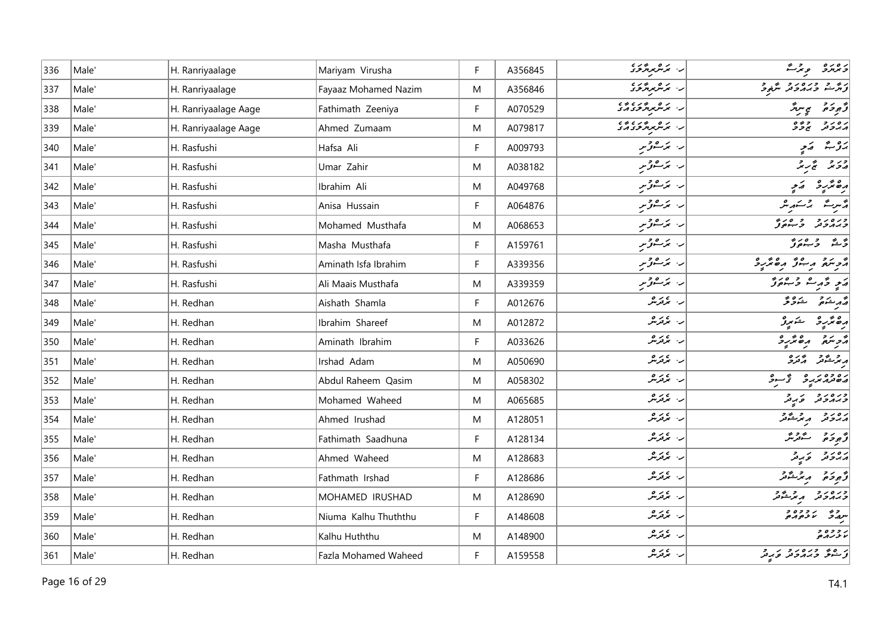| 336 | Male' | H. Ranriyaalage      | Mariyam Virusha      | F           | A356845 | ر گرگر پر پر د     | دیرمرد ویرت                                                              |
|-----|-------|----------------------|----------------------|-------------|---------|--------------------|--------------------------------------------------------------------------|
| 337 | Male' | H. Ranriyaalage      | Fayaaz Mohamed Nazim | M           | A356846 | ر، ئەشرىرىدى       | رو و دره دو شهرو                                                         |
| 338 | Male' | H. Ranriyaalage Aage | Fathimath Zeeniya    | $\mathsf F$ | A070529 | ر بر مرموز در در   | توالله وكالمحمد والمعج مرامحه                                            |
| 339 | Male' | H. Ranriyaalage Aage | Ahmed Zumaam         | M           | A079817 | ر گرمر پر پر در در | ג פ ג כ ב כ ב ס                                                          |
| 340 | Male' | H. Rasfushi          | Hafsa Ali            | F           | A009793 | ر. ئۇستۇترىر       | بروث مزمج                                                                |
| 341 | Male' | H. Rasfushi          | Umar Zahir           | M           | A038182 | ر. ئۇستۇترىر       | ور و پچ ریز                                                              |
| 342 | Male' | H. Rasfushi          | Ibrahim Ali          | M           | A049768 | ر. ئۇستۇترىر       | رە ئۆر ئەير                                                              |
| 343 | Male' | H. Rasfushi          | Anisa Hussain        | $\mathsf F$ | A064876 | ر، بۇسۇرىمىز       | أوسرت وكسكر مر                                                           |
| 344 | Male' | H. Rasfushi          | Mohamed Musthafa     | M           | A068653 | ر، ئۇسۇرىس         | وره رو و وره<br><i>و پرو</i> ونړ و <i>ښوو</i> ژ                          |
| 345 | Male' | H. Rasfushi          | Masha Musthafa       | $\mathsf F$ | A159761 | ر، بۇسۇقۇم         | وَ شَدَّ وَ بِهِ وَ وَ                                                   |
| 346 | Male' | H. Rasfushi          | Aminath Isfa Ibrahim | F           | A339356 | ر، ئۇستۇترىر       | הקיים היינ" הסתיק                                                        |
| 347 | Male' | H. Rasfushi          | Ali Maais Musthafa   | M           | A339359 | ر، بۇسۇرىمىز       | ړې د پر د د سور                                                          |
| 348 | Male' | H. Redhan            | Aishath Shamla       | F           | A012676 | ر، برتریں          | و ديگر ده دره د                                                          |
| 349 | Male' | H. Redhan            | Ibrahim Shareef      | M           | A012872 | ر. بۇترىش          | رەترىر ئىير                                                              |
| 350 | Male' | H. Redhan            | Aminath Ibrahim      | F           | A033626 | ر. عرفرمگر         | أأديته وهتربرد                                                           |
| 351 | Male' | H. Redhan            | Irshad Adam          | M           | A050690 | ر. نوترمگر         | و پڑ شگتر کے مربور                                                       |
| 352 | Male' | H. Redhan            | Abdul Raheem Qasim   | M           | A058302 | ر، بروگرمگر        | גם כם גם בביית                                                           |
| 353 | Male' | H. Redhan            | Mohamed Waheed       | M           | A065685 | ر، بروگرمگر        |                                                                          |
| 354 | Male' | H. Redhan            | Ahmed Irushad        | M           | A128051 | ر. عرفرمگر         | גם גב גביביק<br>גגב <i>ג</i> גביביק                                      |
| 355 | Male' | H. Redhan            | Fathimath Saadhuna   | $\mathsf F$ | A128134 | ر. پروگر           | قرم دو مشتر شور                                                          |
| 356 | Male' | H. Redhan            | Ahmed Waheed         | M           | A128683 | ر. عرفرمگر         | ره رو در د<br>امدونر کورنر                                               |
| 357 | Male' | H. Redhan            | Fathmath Irshad      | F           | A128686 | ر. ئۈچۈر           | أزّوجو مرتمشور                                                           |
| 358 | Male' | H. Redhan            | MOHAMED IRUSHAD      | M           | A128690 | ر. بروگر           | ور ه د و .<br>  <i>و بر پر و . و . و . و .</i><br>  و <i>بر پر ح</i> د . |
| 359 | Male' | H. Redhan            | Niuma Kalhu Thuththu | F.          | A148608 | ر. عرفرمگر         | $50221$ $32$                                                             |
| 360 | Male' | H. Redhan            | Kalhu Huththu        | M           | A148900 | ر. بروگرمگر        | ر و و ه و<br>ما تر دره                                                   |
| 361 | Male' | H. Redhan            | Fazla Mohamed Waheed | F           | A159558 | ر، برورپر          | ت على ورەرو تريد                                                         |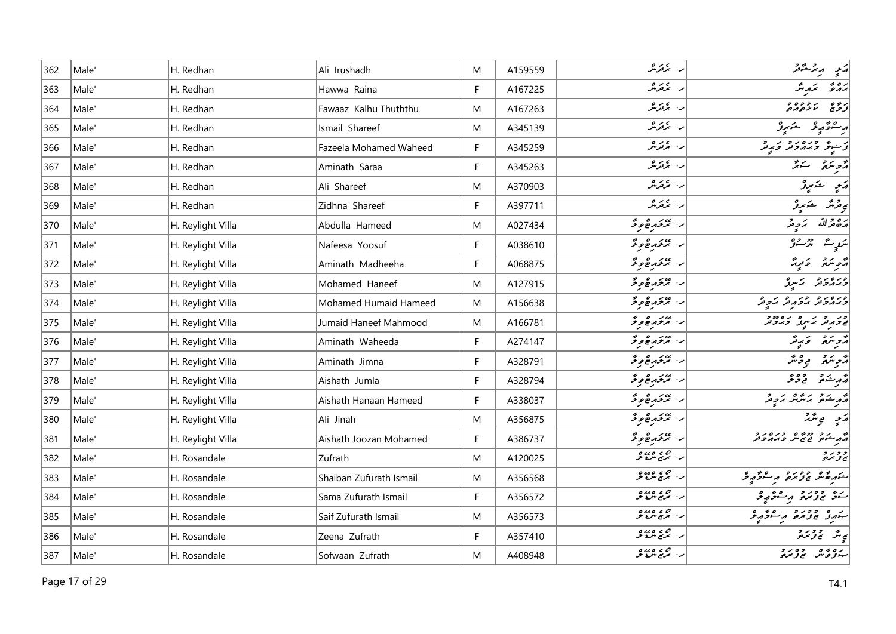| 362 | Male' | H. Redhan         | Ali Irushadh            | M  | A159559 | ر. پروگر                               | ەكىمە بىرىمىتىلىر<br>ئىسىمار                 |
|-----|-------|-------------------|-------------------------|----|---------|----------------------------------------|----------------------------------------------|
| 363 | Male' | H. Redhan         | Hawwa Raina             | F. | A167225 | ر. بروگر                               | برە ئەستر                                    |
| 364 | Male' | H. Redhan         | Fawaaz Kalhu Thuththu   | M  | A167263 | ر، برورپر                              | ر بره در دره د                               |
| 365 | Male' | H. Redhan         | Ismail Shareef          | M  | A345139 | ر. عرفرمگر                             | ر جۇرچى خىيرۇ                                |
| 366 | Male' | H. Redhan         | Fazeela Mohamed Waheed  | F. | A345259 | ر، بۇقرىش                              | تى ئىندى ئەمەر قەر بەر ق                     |
| 367 | Male' | H. Redhan         | Aminath Saraa           | F  | A345263 | ر، بروگرمگر                            | ړ څخه سنټر                                   |
| 368 | Male' | H. Redhan         | Ali Shareef             | M  | A370903 | ر. ئۈچەر                               | أەكىم ئىسكىمىتى كى                           |
| 369 | Male' | H. Redhan         | Zidhna Shareef          | F  | A397711 | ر. نۇترىش                              | ىر قرىش ھەمرۇ                                |
| 370 | Male' | H. Reylight Villa | Abdulla Hameed          | M  | A027434 | ر بجز بجره عربح                        | پر ھ قر اللّٰه<br>برَجٍة قر                  |
| 371 | Male' | H. Reylight Villa | Nafeesa Yoosuf          | F  | A038610 | ر بر دره ه د د                         | دد حرو<br>مرتسور<br>سَموٍےً                  |
| 372 | Male' | H. Reylight Villa | Aminath Madheeha        | F. | A068875 | ر بر عزیره ه ه د څه                    | أأروبتهم وتربر                               |
| 373 | Male' | H. Reylight Villa | Mohamed Haneef          | M  | A127915 | ر بر در هو د                           | ورەرو ئەرو                                   |
| 374 | Male' | H. Reylight Villa | Mohamed Humaid Hameed   | M  | A156638 | ر برودهور                              | כנסנכ בצוב גבב                               |
| 375 | Male' | H. Reylight Villa | Jumaid Haneef Mahmood   | M  | A166781 | ر بر عزیر ه ه د څه                     | و در در برسرو کردود.<br>محکم در برسرو کردود  |
| 376 | Male' | H. Reylight Villa | Aminath Waheeda         | F  | A274147 | ر بر دره ه د د                         | أأترجع أقرابته                               |
| 377 | Male' | H. Reylight Villa | Aminath Jimna           | F  | A328791 | ر بر در ۱۶۵ و د                        | أأزجتم ووثئر                                 |
| 378 | Male' | H. Reylight Villa | Aishath Jumla           | F  | A328794 | ر بمز در ه و د گ                       | ه د شود وه وه<br><i>م</i> د شوی مح           |
| 379 | Male' | H. Reylight Villa | Aishath Hanaan Hameed   | F. | A338037 | ر برودهور                              | ۇرىشو ئەركىرى ئەچ                            |
| 380 | Male' | H. Reylight Villa | Ali Jinah               | M  | A356875 | ر بر عزیره ه ه د څه                    | أقدمي محرمثه                                 |
| 381 | Male' | H. Reylight Villa | Aishath Joozan Mohamed  | F  | A386737 | ر بر دره ه د د                         | د در در دوره در در د<br>دگرشوه فعی در در دور |
| 382 | Male' | H. Rosandale      | Zufrath                 | M  | A120025 | ر، موسی مورد و<br>ر، موسی مورد مح      | د د د د<br>مح تو سره                         |
| 383 | Male' | H. Rosandale      | Shaiban Zufurath Ismail | M  | A356568 | ر به چې وي و<br>ر به ترېخ مرغ محر      | خىرەھ بىرى بىر ئىس بىر                       |
| 384 | Male' | H. Rosandale      | Sama Zufurath Ismail    | F  | A356572 | ر، موج موره و<br>ر، موج موره مو        | ب ودرو ره و عرو                              |
| 385 | Male' | H. Rosandale      | Saif Zufurath Ismail    | M  | A356573 | ر، موج موره و<br>ر، موج موره مو        | ښورو پوځو مرگوگولو                           |
| 386 | Male' | H. Rosandale      | Zeena Zufrath           | F. | A357410 | ر به عروم ده و د<br>ر به عروم مربع محر | ېږېد د د ده.                                 |
| 387 | Male' | H. Rosandale      | Sofwaan Zufrath         | M  | A408948 | ر، برج مرد و                           | رەم دەرد<br>جۇڭ ئۆتلىم                       |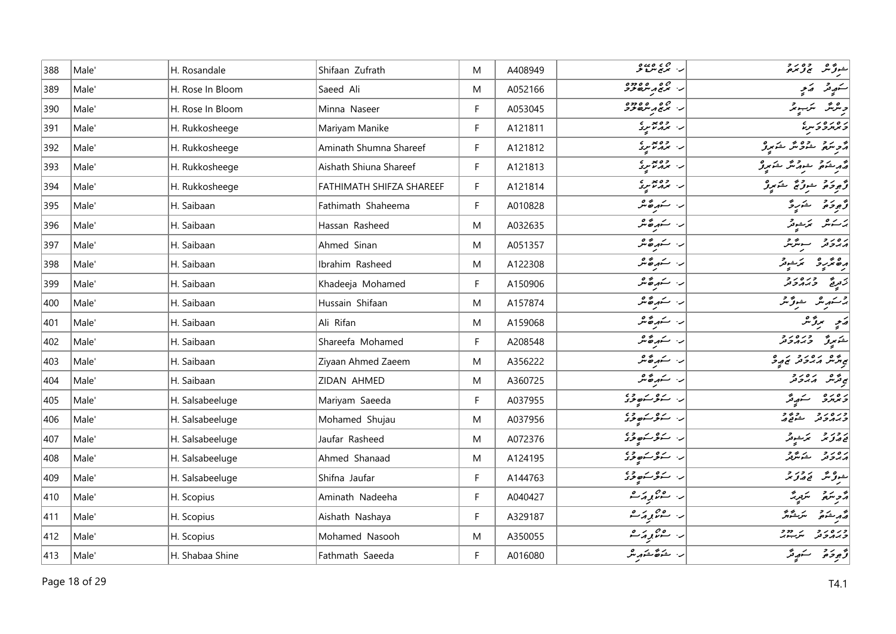| 388 | Male' | H. Rosandale     | Shifaan Zufrath          | M  | A408949 | ر، محرج مورد و<br>ر، محرج ملونا محر   |                                                  |
|-----|-------|------------------|--------------------------|----|---------|---------------------------------------|--------------------------------------------------|
| 389 | Male' | H. Rose In Bloom | Saeed Ali                | M  | A052166 | ر. می در ۵۶۵۵۵<br>ر. مرج د سره مرد    | سكهيش الكامج                                     |
| 390 | Male' | H. Rose In Bloom | Minna Naseer             | F  | A053045 | ر می در ۱۵۶۵ وروه<br>ر مرغ در سره مرد | أوعهد الكبولز                                    |
| 391 | Male' | H. Rukkosheege   | Mariyam Manike           | F  | A121811 |                                       | د وړود سرتا                                      |
| 392 | Male' | H. Rukkosheege   | Aminath Shumna Shareef   | F. | A121812 | ر. 202 ء<br>ر. بود ما موی             | أدويتهم المودش لمكورثه                           |
| 393 | Male' | H. Rukkosheege   | Aishath Shiuna Shareef   | F  | A121813 |                                       | ۇرمۇق ھەر ئىر ھەر                                |
| 394 | Male' | H. Rukkosheege   | FATHIMATH SHIFZA SHAREEF | F. | A121814 | ر. بروند ره<br>ر. برونور              | وَجَعِدَةٌ حَوَرٌجٌ حَدَبِورٌ                    |
| 395 | Male' | H. Saibaan       | Fathimath Shaheema       | F  | A010828 | ر. سەرھٔىر                            | توجوخو الشرائح                                   |
| 396 | Male' | H. Saibaan       | Hassan Rasheed           | M  | A032635 | ر. سەرھ بىر                           | يرسكانكل الكركب وقر                              |
| 397 | Male' | H. Saibaan       | Ahmed Sinan              | M  | A051357 | ر. سەرھٔىر                            | پرورو سوشر                                       |
| 398 | Male' | H. Saibaan       | Ibrahim Rasheed          | M  | A122308 | ر، سەرق ش                             | أرە ئۆر ئەس ئەسىر                                |
| 399 | Male' | H. Saibaan       | Khadeeja Mohamed         | F  | A150906 | ر. سەرھٔىر                            | ژمریځ وبره رو                                    |
| 400 | Male' | H. Saibaan       | Hussain Shifaan          | M  | A157874 | ر. سەرھ بىر                           | 2سىمەيىر ھۆتىر<br>                               |
| 401 | Male' | H. Saibaan       | Ali Rifan                | M  | A159068 | ر. سەرھٔىر                            | أەيجە سرقەمى                                     |
| 402 | Male' | H. Saibaan       | Shareefa Mohamed         | F  | A208548 | ر. سەرھ بىر                           | أخوير وره دو                                     |
| 403 | Male' | H. Saibaan       | Ziyaan Ahmed Zaeem       | M  | A356222 | ر. سەرھىر                             | م محمد مدارد من محمدة                            |
| 404 | Male' | H. Saibaan       | ZIDAN AHMED              | M  | A360725 | ر. سەرھ بىر                           | يې قریبر د مړنۍ تر                               |
| 405 | Male' | H. Salsabeeluge  | Mariyam Saeeda           | F. | A037955 | ر. سەۋسەھ ۋە                          | دەرە سەرتە                                       |
| 406 | Male' | H. Salsabeeluge  | Mohamed Shujau           | M  | A037956 | ر. سەۋسەھ ۋە                          | وره رو دوو<br><i>وب</i> رمرمر شو <sub>قع ه</sub> |
| 407 | Male' | H. Salsabeeluge  | Jaufar Rasheed           | M  | A072376 | ر. سەۋسەھ ۋە                          | پروژ پر پرشیدر                                   |
| 408 | Male' | H. Salsabeeluge  | Ahmed Shanaad            | M  | A124195 | ر. سەۋسەھ ۋە                          | ره رو شکور<br>پرېدونس شکس                        |
| 409 | Male' | H. Salsabeeluge  | Shifna Jaufar            | F. | A144763 | ر. سەۋسەھ ۋە                          | شوژنگر نخ <i>ماؤن</i> گر                         |
| 410 | Male' | H. Scopius       | Aminath Nadeeha          | F  | A040427 | ر. سىندېرىرگ                          | أأترجع أتتبرج                                    |
| 411 | Male' | H. Scopius       | Aishath Nashaya          | F  | A329187 | ر. سىندېرە ئە                         | ە ئەر ئىككى ئىس ئىشكىر                           |
| 412 | Male' | H. Scopius       | Mohamed Nasooh           | M  | A350055 | ر. ستورو میشد.                        | و ره ر د<br><i>و پر</i> پر تر<br>بترجع           |
| 413 | Male' | H. Shabaa Shine  | Fathmath Saeeda          | F  | A016080 | ر. ڪوڭ ڪور س                          | د پوځو په سنوپوتر                                |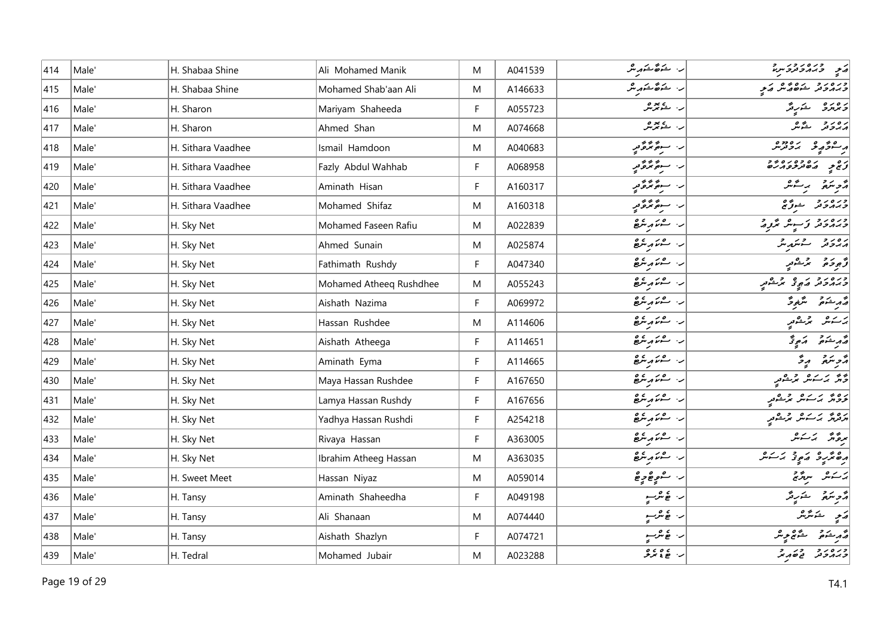| 414 | Male' | H. Shabaa Shine    | Ali Mohamed Manik       | ${\sf M}$ | A041539 | ر. ڪوڪ ڪمبر س          | أثمني ورەرور سره                             |
|-----|-------|--------------------|-------------------------|-----------|---------|------------------------|----------------------------------------------|
| 415 | Male' | H. Shabaa Shine    | Mohamed Shab'aan Ali    | ${\sf M}$ | A146633 | ر. ڪوھُڪور س           | ورەرو رەپە ھەر                               |
| 416 | Male' | H. Sharon          | Mariyam Shaheeda        | F         | A055723 | ر. ڪرمگر هر            | ویروز شریر                                   |
| 417 | Male' | H. Sharon          | Ahmed Shan              | M         | A074668 | ر، ڪيونگر              | أرەر ئەشر                                    |
| 418 | Male' | H. Sithara Vaadhee | Ismail Hamdoon          | ${\sf M}$ | A040683 | ر، سىۋىمرۇپر           | ر عۇرپو بەددە                                |
| 419 | Male' | H. Sithara Vaadhee | Fazly Abdul Wahhab      | F         | A068958 | ر. سوه بره در          | ره ده ده ده د <del>ه</del>                   |
| 420 | Male' | H. Sithara Vaadhee | Aminath Hisan           | F         | A160317 | ر ، سىۋېترەڭ بېر       | أقرمتني برستيثر                              |
| 421 | Male' | H. Sithara Vaadhee | Mohamed Shifaz          | M         | A160318 | ر . سوء برو پر         | ورەر دېم شوژنج                               |
| 422 | Male' | H. Sky Net         | Mohamed Faseen Rafiu    | ${\sf M}$ | A022839 | ر. سىزىر مۇھ           | وره رو ز سور بروه.                           |
| 423 | Male' | H. Sky Net         | Ahmed Sunain            | M         | A025874 | ر. سنگورمرچ            | رەرو ئەسكىرىتى                               |
| 424 | Male' | H. Sky Net         | Fathimath Rushdy        | F         | A047340 | ر. سىزىر يىھ           | أوجوحهم متمشعي                               |
| 425 | Male' | H. Sky Net         | Mohamed Atheeg Rushdhee | ${\sf M}$ | A055243 | ر. سىزىر مىي           | ورەر دېم دې گرېنو                            |
| 426 | Male' | H. Sky Net         | Aishath Nazima          | F         | A069972 | ر. سىزىر مىق           | أقمر شدة التموة                              |
| 427 | Male' | H. Sky Net         | Hassan Rushdee          | M         | A114606 | ر. سىزىر ئىم           | بر سے مگر مشوہیں                             |
| 428 | Male' | H. Sky Net         | Aishath Atheega         | F         | A114651 | ر. سىزىر يىھ           | أقهر شدة المتحية                             |
| 429 | Male' | H. Sky Net         | Aminath Eyma            | F         | A114665 | ر. سىزىر ئىم           | أأدم يتم والمحمد                             |
| 430 | Male' | H. Sky Net         | Maya Hassan Rushdee     | F         | A167650 | ر. ڪمئرمر عو           | و در سایر در در در در بر                     |
| 431 | Male' | H. Sky Net         | Lamya Hassan Rushdy     | F         | A167656 | ر. سىمئەر يىرچ         | توويز برڪس پرڪس                              |
| 432 | Male' | H. Sky Net         | Yadhya Hassan Rushdi    | F         | A254218 | ر. سنتم برامج          | ره بر بر سورس ترشور<br>مرتزمز بر سونتر برشور |
| 433 | Male' | H. Sky Net         | Rivaya Hassan           | F         | A363005 | ر. سنتور مربع          | برة كار كار كار من                           |
| 434 | Male' | H. Sky Net         | Ibrahim Atheeg Hassan   | ${\sf M}$ | A363035 | ر. سنتوسي              | رە ئرىر ئەرق ئەسەر                           |
| 435 | Male' | H. Sweet Meet      | Hassan Niyaz            | ${\sf M}$ | A059014 | ر. ڪو <sub>ڇ ڇ</sub> و | پرستمبر سرچرینې                              |
| 436 | Male' | H. Tansy           | Aminath Shaheedha       | F         | A049198 | ب عَ عرب               | أأرمن المتوافي                               |
| 437 | Male' | H. Tansy           | Ali Shanaan             | ${\sf M}$ | A074440 | ر. غورب                | أەسم ئىشكىلىر                                |
| 438 | Male' | H. Tansy           | Aishath Shazlyn         | F         | A074721 | عَ عَرْب               | ۇرمۇق مۇھ بر                                 |
| 439 | Male' | H. Tedral          | Mohamed Jubair          | ${\sf M}$ | A023288 | ر، عء برو              | כנסנכ כנב<br>כגמכנג בשמיג                    |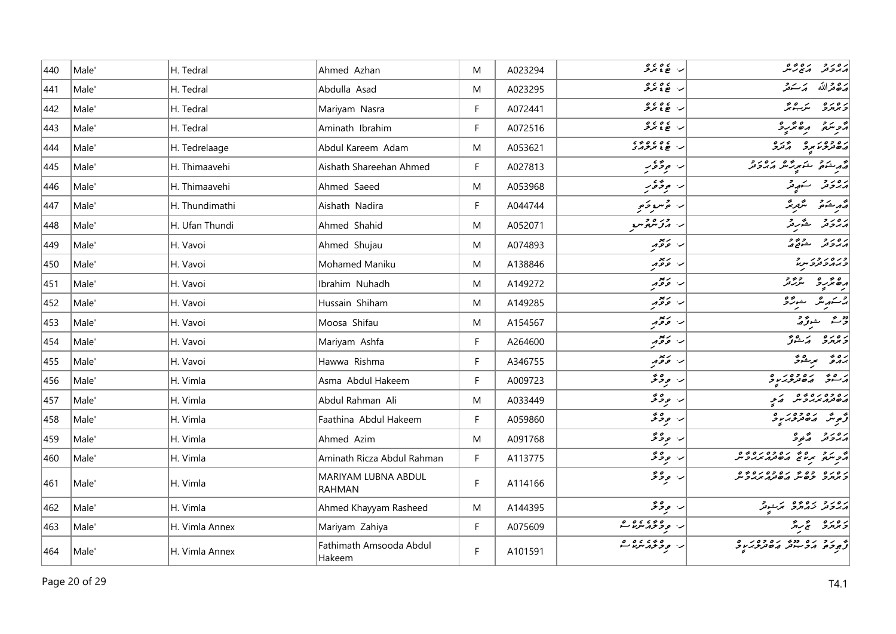| 440 | Male' | H. Tedral      | Ahmed Azhan                       | M         | A023294 | ر، عء برو                                                                               | גפניק גפיית                                                          |
|-----|-------|----------------|-----------------------------------|-----------|---------|-----------------------------------------------------------------------------------------|----------------------------------------------------------------------|
| 441 | Male' | H. Tedral      | Abdulla Asad                      | ${\sf M}$ | A023295 | ر ، ج ه و ه و<br>ر ، ج ء مرکز                                                           | ەھىراللە<br>کہ کے قبر                                                |
| 442 | Male' | H. Tedral      | Mariyam Nasra                     | F         | A072441 | ر، عء برو                                                                               | ر ه ر ه<br><del>ر</del> بربر ژ<br>ىئربە ئە                           |
| 443 | Male' | H. Tedral      | Aminath Ibrahim                   | F         | A072516 | ر، عء برو                                                                               | أأوسكة المقامرة                                                      |
| 444 | Male' | H. Tedrelaage  | Abdul Kareem Adam                 | M         | A053621 | $\begin{array}{lll} c\ast o& c& c\\ \circ & \circ & c\\ c\ast o& c \end{array} \quad .$ | נס כמן פי פיקס<br>הסט <i>ב</i> ט <sub>קב</sub>                       |
| 445 | Male' | H. Thimaavehi  | Aishath Shareehan Ahmed           | F         | A027813 | ر و ځور                                                                                 | د.<br>درخوم خوبرته درود                                              |
| 446 | Male' | H. Thimaavehi  | Ahmed Saeed                       | M         | A053968 | ر وځور                                                                                  | أرور والمستهدر                                                       |
| 447 | Male' | H. Thundimathi | Aishath Nadira                    | F         | A044744 | ر. ئۇس <sub>ىۋ</sub> رىئىچ                                                              | أقرم شكوته الترمر                                                    |
| 448 | Male' | H. Ufan Thundi | Ahmed Shahid                      | M         | A052071 | ر بەر ئەھەسىر                                                                           | رەر دېمبر د<br>مەرومى ئىشمەمل                                        |
| 449 | Male' | H. Vavoi       | Ahmed Shujau                      | ${\sf M}$ | A074893 | ر وَوَمِ                                                                                | ره رح در در<br>م.رح تر مشوقے م                                       |
| 450 | Male' | H. Vavoi       | Mohamed Maniku                    | M         | A138846 | ر کوچه                                                                                  | כנים ניכן<br>הממכונק יינול                                           |
| 451 | Male' | H. Vavoi       | Ibrahim Nuhadh                    | M         | A149272 | ر نمو د                                                                                 | رەپرىر بىر <i>ە</i> ر                                                |
| 452 | Male' | H. Vavoi       | Hussain Shiham                    | M         | A149285 | ر نمیور                                                                                 | جرسكريش المورجي                                                      |
| 453 | Male' | H. Vavoi       | Moosa Shifau                      | ${\sf M}$ | A154567 | ر به دور                                                                                | دو مه دور<br>درگاه مشور د                                            |
| 454 | Male' | H. Vavoi       | Mariyam Ashfa                     | F         | A264600 | ر کرينځ د                                                                               | رەرە پەشۇ                                                            |
| 455 | Male' | H. Vavoi       | Hawwa Rishma                      | F         | A346755 | بأنجع                                                                                   |                                                                      |
| 456 | Male' | H. Vimla       | Asma Abdul Hakeem                 | F         | A009723 | ر. ءِدْ گ                                                                               | ر وه رودور و                                                         |
| 457 | Male' | H. Vimla       | Abdul Rahman Ali                  | M         | A033449 | ر. ود ژ                                                                                 | גם כם גם מם הב                                                       |
| 458 | Male' | H. Vimla       | Faathina Abdul Hakeem             | F         | A059860 | ر. ودی                                                                                  | توموش مقصر ومروا                                                     |
| 459 | Male' | H. Vimla       | Ahmed Azim                        | M         | A091768 | ر. ووڅ                                                                                  | رەر د د                                                              |
| 460 | Male' | H. Vimla       | Aminath Ricza Abdul Rahman        | F         | A113775 | ار، ودْنْرٌ                                                                             | י גר כי מי גם כסגסים                                                 |
| 461 | Male' | H. Vimla       | MARIYAM LUBNA ABDUL<br>RAHMAN     | F         | A114166 | ر. ءِدْ گ                                                                               | ג סגם כם ש' גםכם גם שים.<br>בימו <i>ת כם ית הסנ</i> גי <i>מ</i> גבית |
| 462 | Male' | H. Vimla       | Ahmed Khayyam Rasheed             | M         | A144395 | ر. ع5عرٌ                                                                                |                                                                      |
| 463 | Male' | H. Vimla Annex | Mariyam Zahiya                    | F         | A075609 | 0.0000000                                                                               | גםגם הבנה                                                            |
| 464 | Male' | H. Vimla Annex | Fathimath Amsooda Abdul<br>Hakeem | F         | A101591 | لەر مەدەن مەدەن                                                                         | ه د د ده ده ده ده ده ده ده<br>ترجوح مرحسنتر مان ترجمنون              |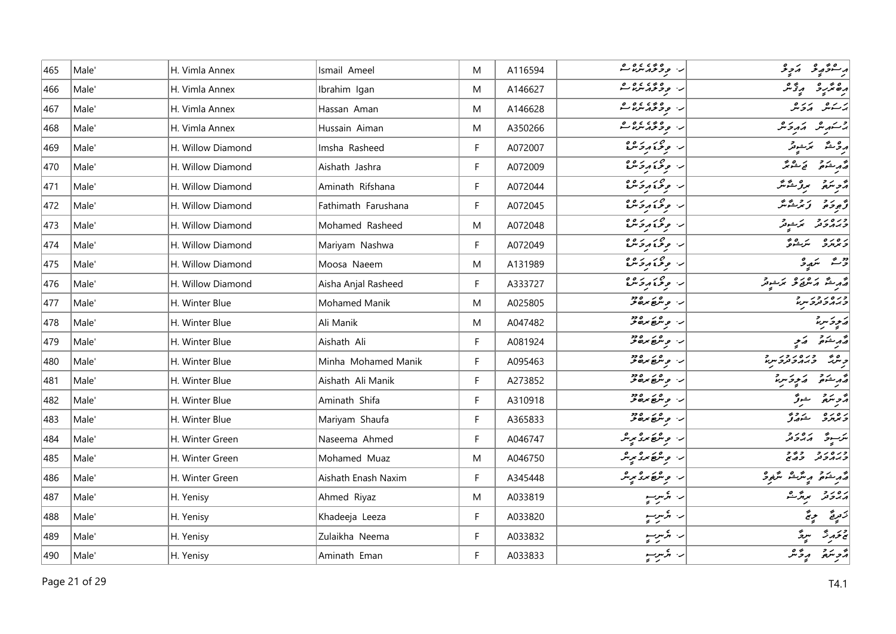| 465 | Male' | H. Vimla Annex    | Ismail Ameel        | M  | A116594 | ر. ووفه شروع ب                          | برحتى قياقي فالمتحفظ                               |
|-----|-------|-------------------|---------------------|----|---------|-----------------------------------------|----------------------------------------------------|
| 466 | Male' | H. Vimla Annex    | Ibrahim Igan        | M  | A146627 | ر. ووفه سرام م                          | رەترىر رېتىر                                       |
| 467 | Male' | H. Vimla Annex    | Hassan Aman         | M  | A146628 | ر. ووڅه شره ک                           | يُسَدَسُ مَرَكَسُ                                  |
| 468 | Male' | H. Vimla Annex    | Hussain Aiman       | M  | A350266 | ر. ووفەرس مەم                           | يزحكر شهركر المركز الرائح                          |
| 469 | Male' | H. Willow Diamond | Imsha Rasheed       | F  | A072007 | ر وی دی که                              | أبرق شكا الكر الموافر                              |
| 470 | Male' | H. Willow Diamond | Aishath Jashra      | F  | A072009 | ر. وژنموژهنگا                           | مەر شىم ئىق ئىش                                    |
| 471 | Male' | H. Willow Diamond | Aminath Rifshana    | F. | A072044 | - פְּב <sup>ָ</sup> ז גְפ <sup>ֶם</sup> | ۇرچىدىق بىرۇشقىد                                   |
| 472 | Male' | H. Willow Diamond | Fathimath Farushana | F  | A072045 | ر وی دی که                              | ۇپروتۇ بىرىشكە                                     |
| 473 | Male' | H. Willow Diamond | Mohamed Rasheed     | M  | A072048 | $rac{1}{2}$                             | ورەرو بەيدۇ.                                       |
| 474 | Male' | H. Willow Diamond | Mariyam Nashwa      | F  | A072049 | ر وڅوړ ځورمه                            | رەرە شەھۇ                                          |
| 475 | Male' | H. Willow Diamond | Moosa Naeem         | M  | A131989 | ر. وڅنموختنه                            | رَمَسَمْ سَمِيرٌ                                   |
| 476 | Male' | H. Willow Diamond | Aisha Anjal Rasheed | F  | A333727 | ر وڅوړ ځومره                            | و<br>وأمر شكار مركز مركب وتركيب وتر                |
| 477 | Male' | H. Winter Blue    | Mohamed Manik       | M  | A025805 | ה קיית שימשיב                           | ور ەر ور<br>د بەھ ترىپ س                           |
| 478 | Male' | H. Winter Blue    | Ali Manik           | M  | A047482 | ر. وینهٔ مره د                          | لأويخ مبرر                                         |
| 479 | Male' | H. Winter Blue    | Aishath Ali         | F  | A081924 | ה קייל מסיד                             | أقرم يشتموا أترمح                                  |
| 480 | Male' | H. Winter Blue    | Minha Mohamed Manik | F  | A095463 | ر و شرکه در ۲۵ و                        | جەندىخ<br>2 - 2 - 2 - 2 - 2<br>2 - ג ה 2 تعريج سور |
| 481 | Male' | H. Winter Blue    | Aishath Ali Manik   | F  | A273852 | ر و شریع برده و                         | ومرشكم وكمر وكرام                                  |
| 482 | Male' | H. Winter Blue    | Aminath Shifa       | F. | A310918 | ה קיית שימשיב                           | أثرم يتمدح<br>شەۋ                                  |
| 483 | Male' | H. Winter Blue    | Mariyam Shaufa      | F  | A365833 | ر. ومثبة برة بر                         | ر ہ ر ہ<br>5 بربرگ<br>شەھەتى                       |
| 484 | Male' | H. Winter Green   | Naseema Ahmed       | F  | A046747 | ر ، ویژهٔ مرد مریش                      | پروژو<br>ىئەسىرى                                   |
| 485 | Male' | H. Winter Green   | Mohamed Muaz        | M  | A046750 | ر و مرتفع برو بر مر                     | כנסנב במב                                          |
| 486 | Male' | H. Winter Green   | Aishath Enash Naxim | F. | A345448 | ر و عرضه ده بر عر                       | مەم شىم بەشش شۆر                                   |
| 487 | Male' | H. Yenisy         | Ahmed Riyaz         | M  | A033819 | ر کو مورے<br>اس                         | رەرد پەرت                                          |
| 488 | Male' | H. Yenisy         | Khadeeja Leeza      | F. | A033820 | ر کو ہورے<br>نے                         | ئرىرى<br>سىم<br>محيضح                              |
| 489 | Male' | H. Yenisy         | Zulaikha Neema      | F. | A033832 | ر آگر میں ب<br>اس کی انگر               | ليخرمر<br>سرچڙ                                     |
| 490 | Male' | H. Yenisy         | Aminath Eman        | F. | A033833 | ر آگرموں<br>اس                          | ړٌ پر سر پر د مل                                   |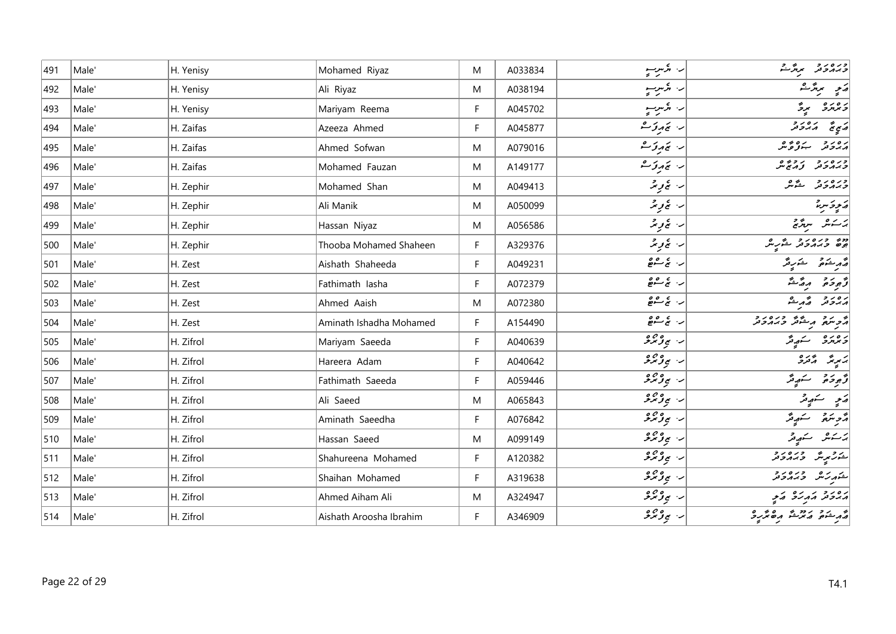| 491 | Male' | H. Yenisy | Mohamed Riyaz           | M  | A033834 | ر. کورسہ<br> ر. کورسہ   | ورەرو بەرگ                     |
|-----|-------|-----------|-------------------------|----|---------|-------------------------|--------------------------------|
| 492 | Male' | H. Yenisy | Ali Riyaz               | M  | A038194 | ر آگرمیں۔<br>ا          | أەسم بورگر                     |
| 493 | Male' | H. Yenisy | Mariyam Reema           | F  | A045702 | ر. کرسرے                | $rac{1}{2}$<br>سمرژ            |
| 494 | Male' | H. Zaifas | Azeeza Ahmed            | F  | A045877 | ر، ئەرۇب                | كەنبەيج كەبروتر                |
| 495 | Male' | H. Zaifas | Ahmed Sofwan            | M  | A079016 | ر، ئەرۇپ                | رەرد رەپەە<br>مەردىس سۆۋەش     |
| 496 | Male' | H. Zaifas | Mohamed Fauzan          | M  | A149177 | ر، ئىمرۇش               | ورەرو روپەرە                   |
| 497 | Male' | H. Zephir | Mohamed Shan            | M  | A049413 | ر، ئج تو پژ             | و ره ر د<br>تر پر ژنر<br>ىشەشر |
| 498 | Male' | H. Zephir | Ali Manik               | M  | A050099 | ر، نج دیگر              | وسيتحسر                        |
| 499 | Male' | H. Zephir | Hassan Niyaz            | M  | A056586 | را گاریژ                | برسك سردد                      |
| 500 | Male' | H. Zephir | Thooba Mohamed Shaheen  | F. | A329376 | ر، ئچ ویژ               | وه وره دو ځرین                 |
| 501 | Male' | H. Zest   | Aishath Shaheeda        | F  | A049231 | ر. نج ڪيھ               |                                |
| 502 | Male' | H. Zest   | Fathimath lasha         | F  | A072379 | ر. نج ڪيھ               | ومجودة مقش                     |
| 503 | Male' | H. Zest   | Ahmed Aaish             | M  | A072380 | ر. ع شوھ                | أرور ومحمد المحمد              |
| 504 | Male' | H. Zest   | Aminath Ishadha Mohamed | F  | A154490 | ر. نج ڪھ                | أثر منهج المشوقر وبراد و       |
| 505 | Male' | H. Zifrol | Mariyam Saeeda          | F. | A040639 | ر. يوژنژو               | د ۱۵ د سورگر                   |
| 506 | Male' | H. Zifrol | Hareera Adam            | F. | A040642 | ر، بې د چرم             | برير وره                       |
| 507 | Male' | H. Zifrol | Fathimath Saeeda        | F  | A059446 | ر. بې ژېژنو             | وَجودَهُ سَهِيمٌ               |
| 508 | Male' | H. Zifrol | Ali Saeed               | M  | A065843 | ر. بې ژېژنو             | أوسمج ستعديد                   |
| 509 | Male' | H. Zifrol | Aminath Saeedha         | F. | A076842 | ر. بىرۋىرگە             | أأروبتكم المستمرين             |
| 510 | Male' | H. Zifrol | Hassan Saeed            | M  | A099149 | ر. بېرونژو              | أرَسَكَ مَدَيْرِ               |
| 511 | Male' | H. Zifrol | Shahureena Mohamed      | F. | A120382 | ار. بروجود              | شركر وره دو                    |
| 512 | Male' | H. Zifrol | Shaihan Mohamed         | F  | A319638 | ر. ئ <sub>ى</sub> رتىگە | أشركر وره دو                   |
| 513 | Male' | H. Zifrol | Ahmed Aiham Ali         | M  | A324947 | ر. بروموگ               |                                |
| 514 | Male' | H. Zifrol | Aishath Aroosha Ibrahim | F  | A346909 | ر. يوژنژو               |                                |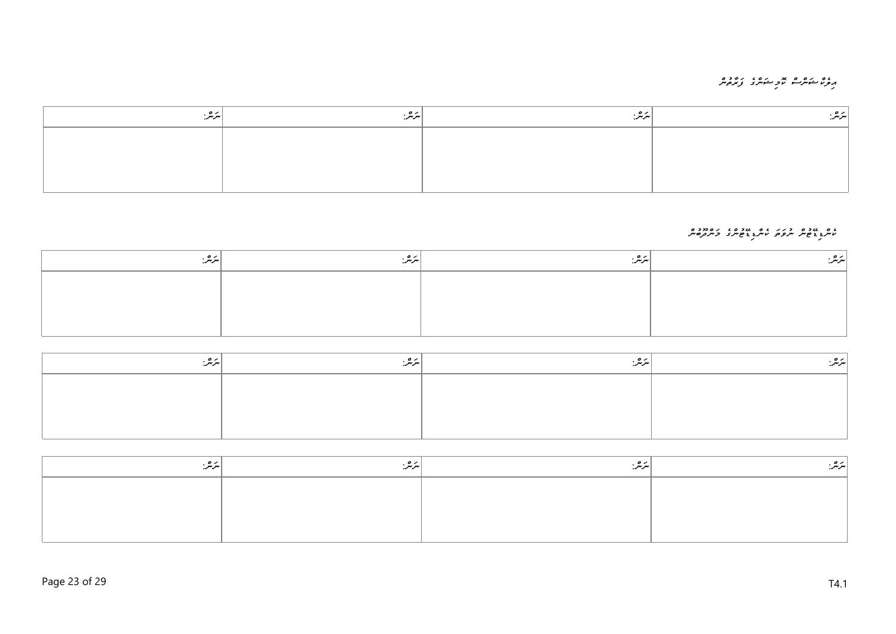## *w7qAn8m? sCw7mRo>u; wEw7mRw;sBo<*

| ' مرمر | 'يئرىثر: |
|--------|----------|
|        |          |
|        |          |
|        |          |

## *w7q9r@w7m> sCw7qHtFoFw7s; mAm=q7 w7qHtFoFw7s;*

| ىر تە | $\mathcal{O} \times$<br>$\sim$ | $\sim$<br>. . | لترنثر |
|-------|--------------------------------|---------------|--------|
|       |                                |               |        |
|       |                                |               |        |
|       |                                |               |        |

| $\frac{2}{n}$ | $^{\circ}$ | $\frac{2}{n}$ | $^{\circ}$<br>سرسر. |
|---------------|------------|---------------|---------------------|
|               |            |               |                     |
|               |            |               |                     |
|               |            |               |                     |

| ىرتىر: | 。<br>سر سر | .,<br>مرسر |
|--------|------------|------------|
|        |            |            |
|        |            |            |
|        |            |            |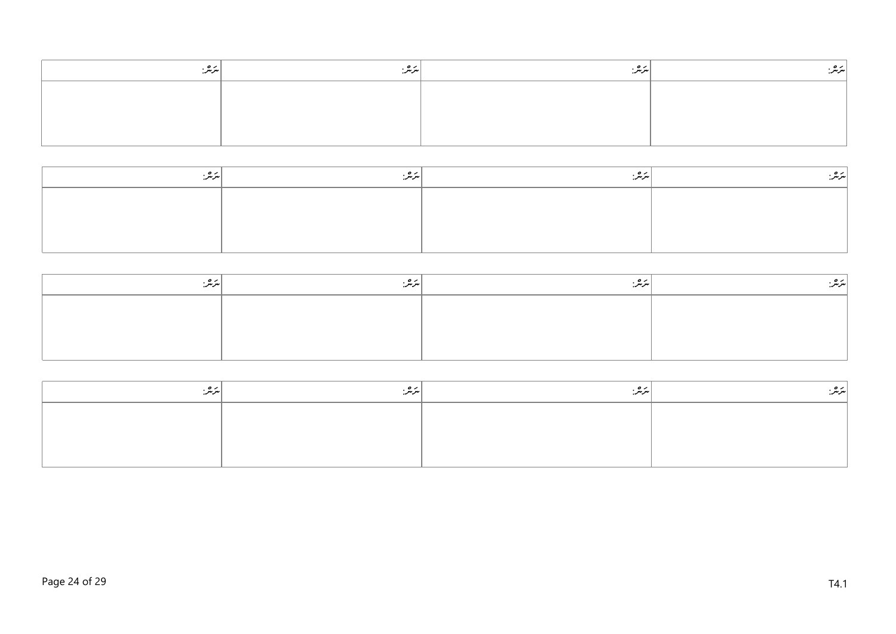| يزهر | $^{\circ}$ | ىئرىتر: |  |
|------|------------|---------|--|
|      |            |         |  |
|      |            |         |  |
|      |            |         |  |

| متريثر به | 。<br>'سرسر'۔ | يتزيترا | سرسر |
|-----------|--------------|---------|------|
|           |              |         |      |
|           |              |         |      |
|           |              |         |      |

| ىئرىتر. | $\sim$ | ا بر هه. | لىرىش |
|---------|--------|----------|-------|
|         |        |          |       |
|         |        |          |       |
|         |        |          |       |

| 。<br>مرس. | $\overline{\phantom{a}}$<br>مر سر | يتريثر |
|-----------|-----------------------------------|--------|
|           |                                   |        |
|           |                                   |        |
|           |                                   |        |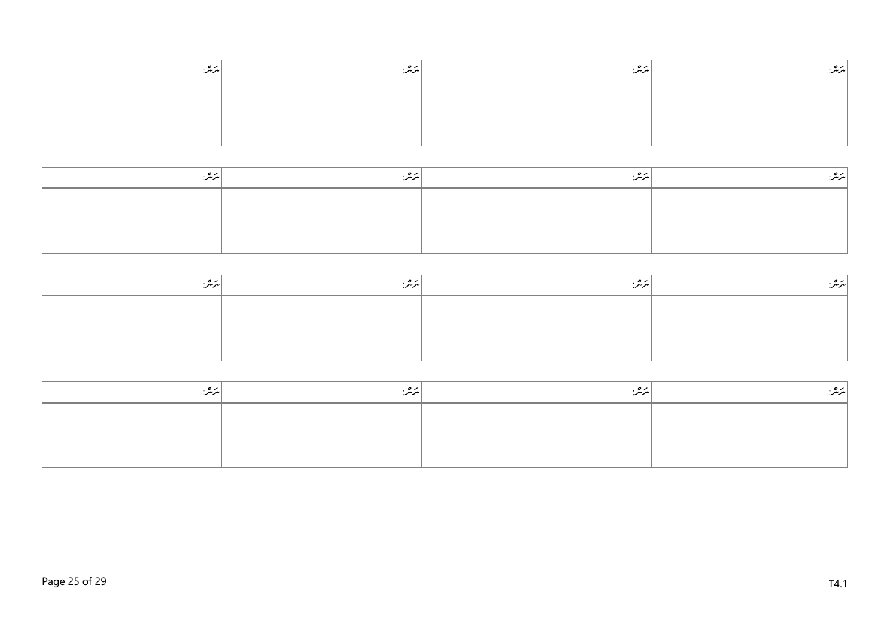| ير هو . | $\overline{\phantom{a}}$ | يرمر | اير هنه. |
|---------|--------------------------|------|----------|
|         |                          |      |          |
|         |                          |      |          |
|         |                          |      |          |

| ئىرتىر: | $\sim$<br>ا سرسر . | يئرمثر | o . |
|---------|--------------------|--------|-----|
|         |                    |        |     |
|         |                    |        |     |
|         |                    |        |     |

| انترنثر: | ر ه |  |
|----------|-----|--|
|          |     |  |
|          |     |  |
|          |     |  |

|  | . ه |
|--|-----|
|  |     |
|  |     |
|  |     |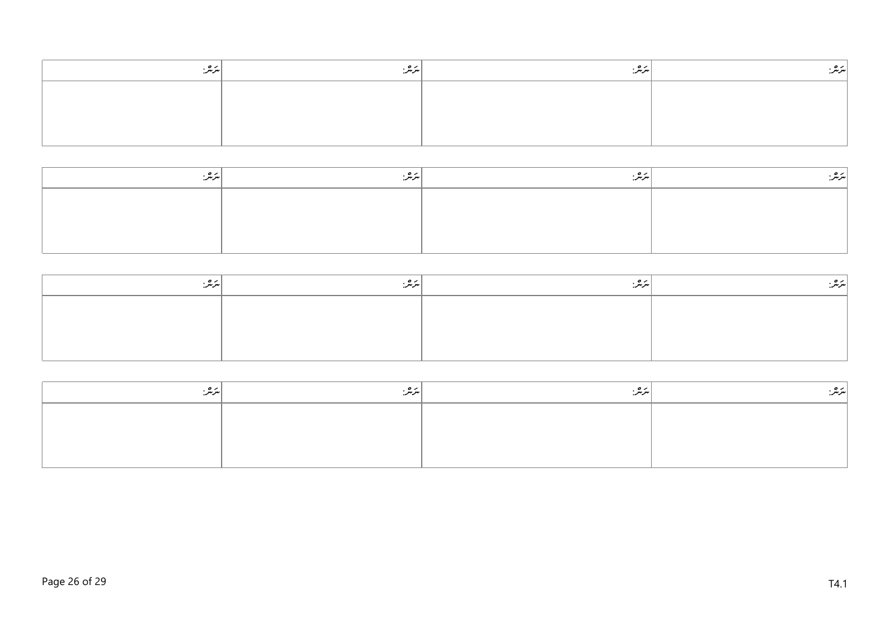| ير هو . | $\overline{\phantom{a}}$ | يرمر | اير هنه. |
|---------|--------------------------|------|----------|
|         |                          |      |          |
|         |                          |      |          |
|         |                          |      |          |

| ئىرتىر: | $\sim$<br>ا سرسر . | يئرمثر | o . |
|---------|--------------------|--------|-----|
|         |                    |        |     |
|         |                    |        |     |
|         |                    |        |     |

| الترنثر: | ' مرتكز: | الترنثر: | .,<br>سرسر. |
|----------|----------|----------|-------------|
|          |          |          |             |
|          |          |          |             |
|          |          |          |             |

|  | . ه |
|--|-----|
|  |     |
|  |     |
|  |     |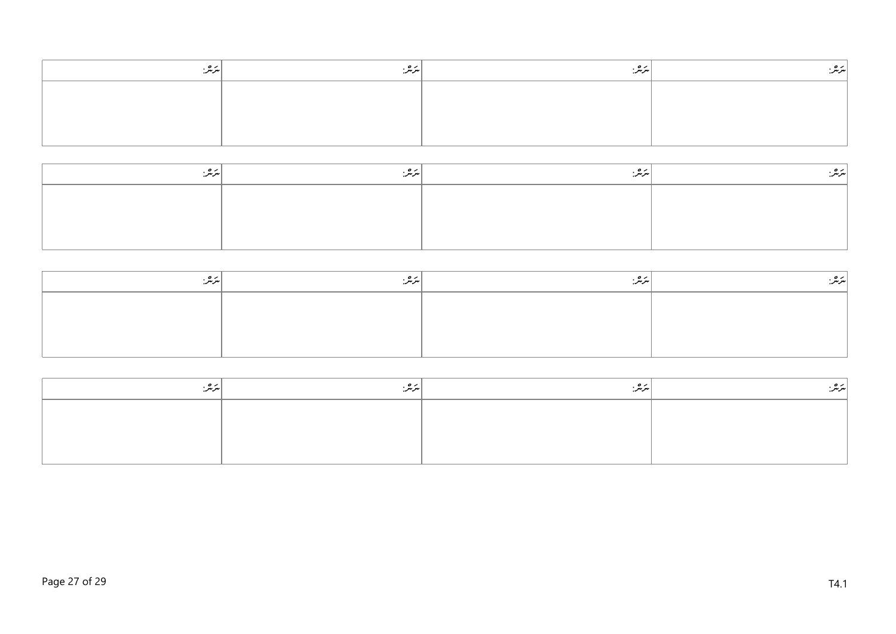| $\cdot$ | ο. | $\frac{\circ}{\cdot}$ | $\sim$<br>سرسر |
|---------|----|-----------------------|----------------|
|         |    |                       |                |
|         |    |                       |                |
|         |    |                       |                |

| ايرعر: | ر ه<br>. . |  |
|--------|------------|--|
|        |            |  |
|        |            |  |
|        |            |  |

| بر ه | 。 | $\sim$<br>َ سومس |  |
|------|---|------------------|--|
|      |   |                  |  |
|      |   |                  |  |
|      |   |                  |  |

| 。<br>. س | ىرىىر |  |
|----------|-------|--|
|          |       |  |
|          |       |  |
|          |       |  |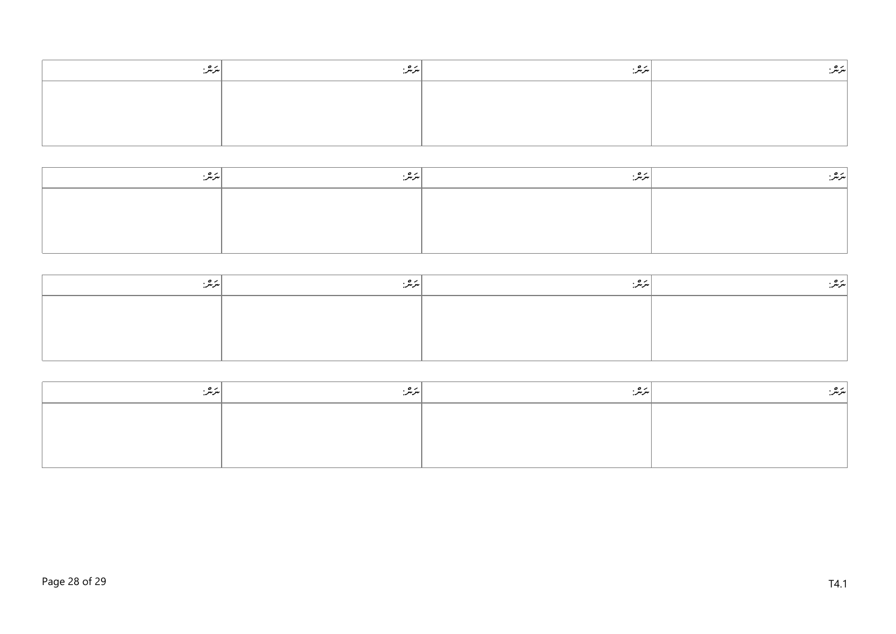| ير هو . | $\overline{\phantom{a}}$ | يرمر | لتزمثن |
|---------|--------------------------|------|--------|
|         |                          |      |        |
|         |                          |      |        |
|         |                          |      |        |

| ىر تىر: | $\circ$ $\sim$<br>" سرسر . | يبرحه | o . |
|---------|----------------------------|-------|-----|
|         |                            |       |     |
|         |                            |       |     |
|         |                            |       |     |

| انترنثر: | ر ه |  |
|----------|-----|--|
|          |     |  |
|          |     |  |
|          |     |  |

|  | . ه |
|--|-----|
|  |     |
|  |     |
|  |     |